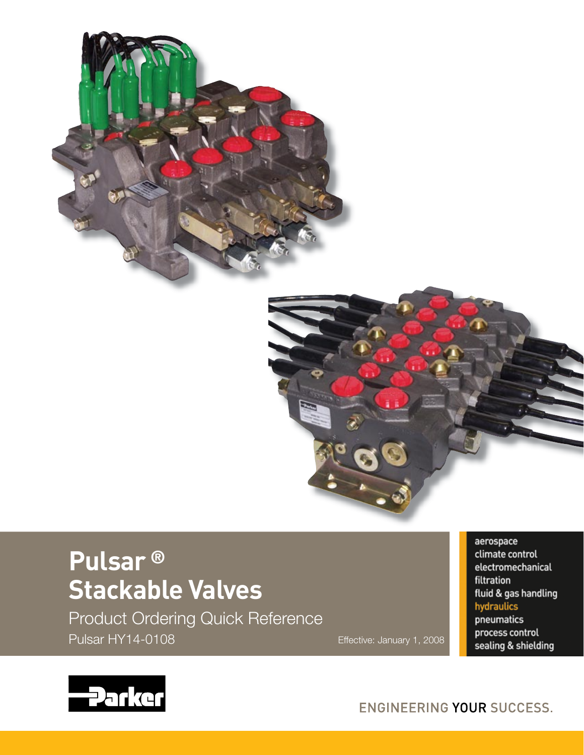

# **VG35EH Open-Center Pulsar ® Stackable Valves**

Pulsar HY14-0108 Product Ordering Quick Reference

Effective: January 1, 2008

aerospace climate control electromechanical filtration fluid & gas handling hydraulics pneumatics process control sealing & shielding



**ENGINEERING YOUR SUCCESS.**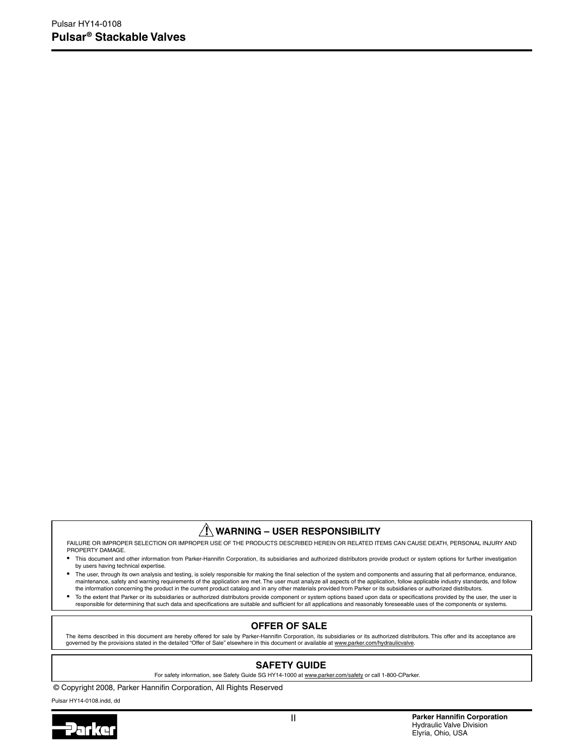### **WARNING – USER RESPONSIBILITY**

FAILURE OR IMPROPER SELECTION OR IMPROPER USE OF THE PRODUCTS DESCRIBED HEREIN OR RELATED ITEMS CAN CAUSE DEATH, PERSONAL INJURY AND PROPERTY DAMAGE.

- This document and other information from Parker-Hannifin Corporation, its subsidiaries and authorized distributors provide product or system options for further investigation by users having technical expertise. •
- The user, through its own analysis and testing, is solely responsible for making the final selection of the system and components and assuring that all performance, endurance, endurance, endurance, endurance, endurance, en the information concerning the product in the current product catalog and in any other materials provided from Parker or its subsidiaries or authorized distributors.
- To the extent that Parker or its subsidiaries or authorized distributors provide component or system options based upon data or specifications provided by the user, the user is responsible for determining that such data and specifications are suitable and sufficient for all applications and reasonably foreseeable uses of the components or systems.

#### **OFFER OF SALE**

The items described in this document are hereby offered for sale by Parker-Hannifin Corporation, its subsidiaries or its authorized distributors. This offer and its acceptance are<br>governed by the provisions stated in the d

#### **SAFETY GUIDE**

For safety information, see Safety Guide SG HY14-1000 at www.parker.com/safety or call 1-800-CParker.

© Copyright 2008, Parker Hannifin Corporation, All Rights Reserved

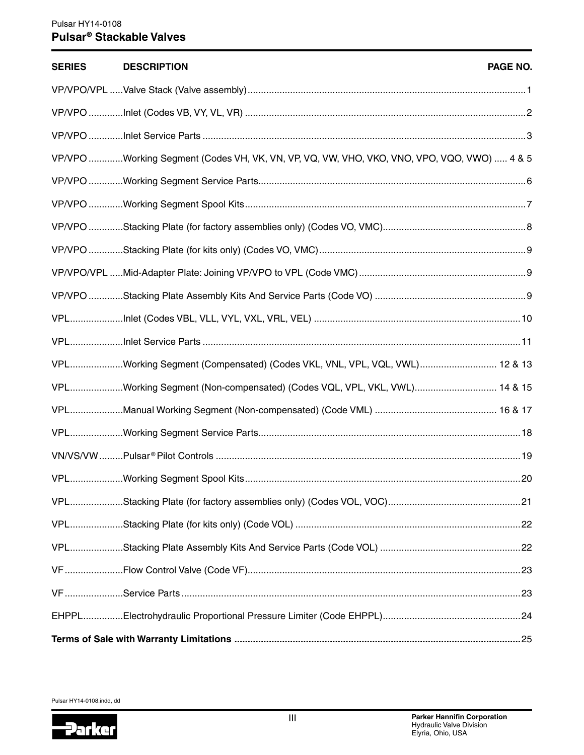#### **Pulsar® Stackable Valves** Pulsar HY14-0108

| <b>SERIES</b> | <b>DESCRIPTION</b>                                                                         | PAGE NO. |
|---------------|--------------------------------------------------------------------------------------------|----------|
|               |                                                                                            |          |
|               |                                                                                            |          |
|               |                                                                                            |          |
|               | VP/VPO Working Segment (Codes VH, VK, VN, VP, VQ, VW, VHO, VKO, VNO, VPO, VQO, VWO)  4 & 5 |          |
|               |                                                                                            |          |
|               |                                                                                            |          |
|               |                                                                                            |          |
|               |                                                                                            |          |
|               |                                                                                            |          |
|               |                                                                                            |          |
|               |                                                                                            |          |
|               |                                                                                            |          |
|               | VPLWorking Segment (Compensated) (Codes VKL, VNL, VPL, VQL, VWL) 12 & 13                   |          |
|               | VPLWorking Segment (Non-compensated) (Codes VQL, VPL, VKL, VWL) 14 & 15                    |          |
|               |                                                                                            |          |
|               |                                                                                            |          |
|               |                                                                                            |          |
|               |                                                                                            | . 20     |
|               |                                                                                            |          |
|               |                                                                                            |          |
|               |                                                                                            |          |
|               |                                                                                            |          |
|               |                                                                                            |          |
|               |                                                                                            |          |
|               |                                                                                            |          |

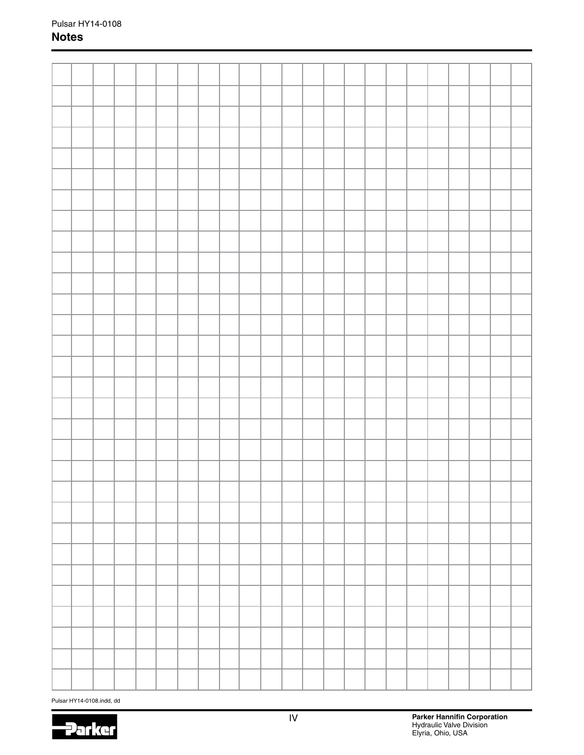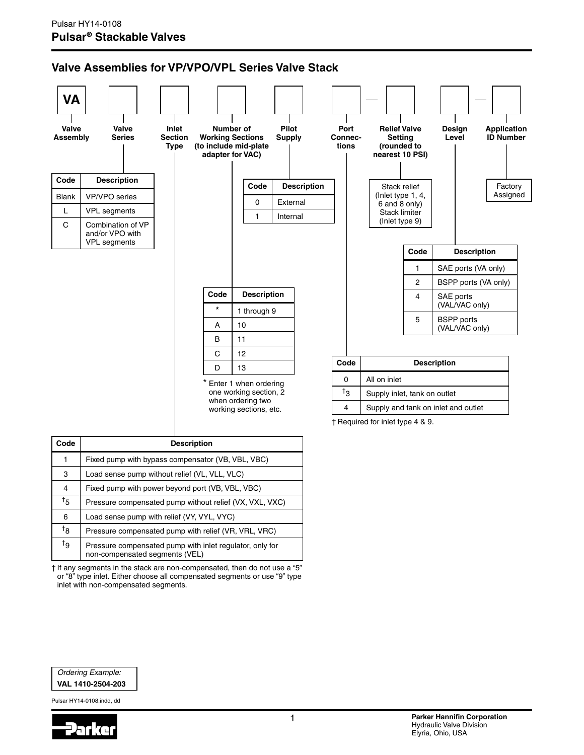**Valve Assemblies for VP/VPO/VPL Series Valve Stack**



| Code          | <b>Description</b>                                                                         |
|---------------|--------------------------------------------------------------------------------------------|
| 1             | Fixed pump with bypass compensator (VB, VBL, VBC)                                          |
| 3             | Load sense pump without relief (VL, VLL, VLC)                                              |
| 4             | Fixed pump with power beyond port (VB, VBL, VBC)                                           |
| $^{\dagger}5$ | Pressure compensated pump without relief (VX, VXL, VXC)                                    |
| 6             | Load sense pump with relief (VY, VYL, VYC)                                                 |
| tg            | Pressure compensated pump with relief (VR, VRL, VRC)                                       |
| tg            | Pressure compensated pump with inlet regulator, only for<br>non-compensated segments (VEL) |

† If any segments in the stack are non-compensated, then do not use a "5" or "8" type inlet. Either choose all compensated segments or use "9" type inlet with non-compensated segments.

*Ordering Example:* **VAL 1410-2504-203**

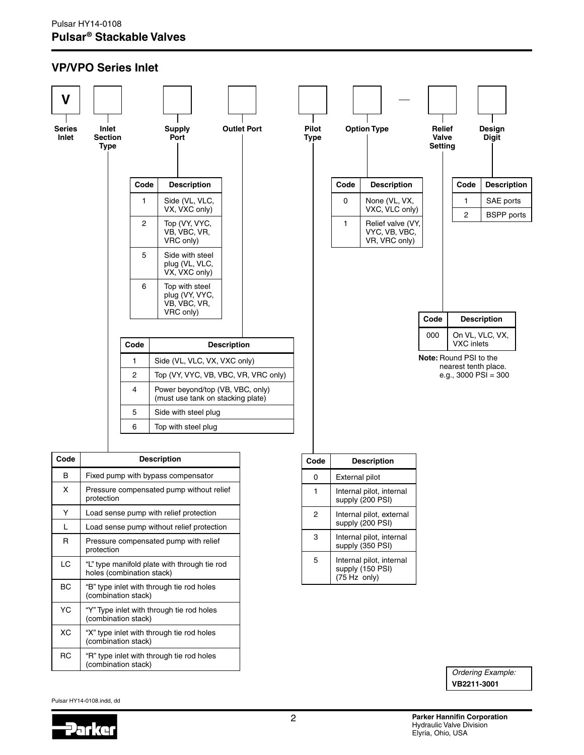#### **VP/VPO Series Inlet**



Pulsar HY14-0108.indd, dd

(combination stack)

![](_page_5_Picture_4.jpeg)

*Ordering Example:* **VB2211-3001**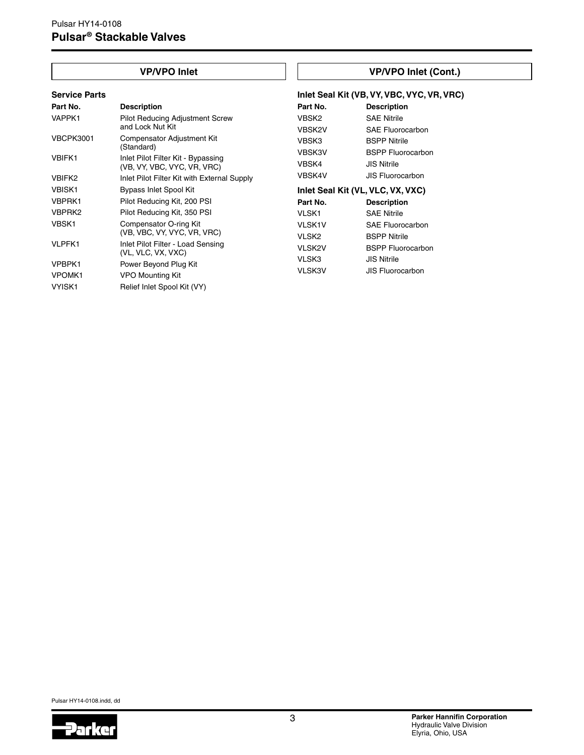| <b>Service Parts</b> |                                                                   |
|----------------------|-------------------------------------------------------------------|
| Part No.             | <b>Description</b>                                                |
| VAPPK1               | <b>Pilot Reducing Adjustment Screw</b><br>and Lock Nut Kit        |
| <b>VBCPK3001</b>     | Compensator Adjustment Kit<br>(Standard)                          |
| <b>VBIFK1</b>        | Inlet Pilot Filter Kit - Bypassing<br>(VB, VY, VBC, VYC, VR, VRC) |
| VBIFK2               | Inlet Pilot Filter Kit with External Supply                       |
| <b>VBISK1</b>        | <b>Bypass Inlet Spool Kit</b>                                     |
| VBPRK1               | Pilot Reducing Kit, 200 PSI                                       |
| VBPRK2               | Pilot Reducing Kit, 350 PSI                                       |
| VBSK1                | Compensator O-ring Kit<br>(VB, VBC, VY, VYC, VR, VRC)             |
| <b>VLPFK1</b>        | Inlet Pilot Filter - Load Sensing<br>(VL, VLC, VX, VXC)           |
| VPBPK1               | Power Beyond Plug Kit                                             |
| <b>VPOMK1</b>        | VPO Mounting Kit                                                  |
| VYISK1               | Relief Inlet Spool Kit (VY)                                       |

#### **VP/VPO Inlet VP/VPO Inlet (Cont.)**

#### **Inlet Seal Kit (VB,VY,VBC,VYC,VR,VRC)**

| Part No.      | <b>Description</b>       |
|---------------|--------------------------|
| VBSK2         | <b>SAE Nitrile</b>       |
| <b>VBSK2V</b> | <b>SAE Fluorocarbon</b>  |
| VBSK3         | <b>BSPP Nitrile</b>      |
| VBSK3V        | <b>BSPP Fluorocarbon</b> |
| VBSK4         | <b>JIS Nitrile</b>       |
| <b>VBSK4V</b> | <b>JIS Fluorocarbon</b>  |

#### **Inlet Seal Kit (VL,VLC,VX,VXC) Part No. Description** VLSK1 SAF Nitrile

| VLSK1         | SAE NITHIE               |
|---------------|--------------------------|
| <b>VLSK1V</b> | <b>SAE Fluorocarbon</b>  |
| VLSK2         | <b>BSPP Nitrile</b>      |
| VLSK2V        | <b>BSPP Fluorocarbon</b> |
| VLSK3         | <b>JIS Nitrile</b>       |
| VLSK3V        | <b>JIS Fluorocarbon</b>  |
|               |                          |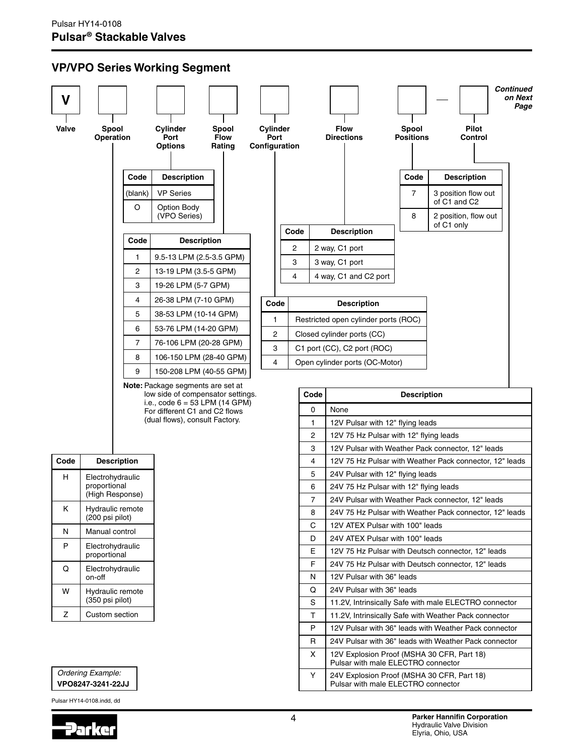#### **VP/VPO Series Working Segment**

![](_page_7_Figure_2.jpeg)

**Note:** Package segments are set at i.e., code  $6 = 53$  LPM (14 GPM) For different C1 and C2 flows (dual flows), consult Factory.

low side of compensator settings.

| Code                | Description                                         |  |  |  |
|---------------------|-----------------------------------------------------|--|--|--|
| н                   | Electrohydraulic<br>proportional<br>(High Response) |  |  |  |
| ĸ                   | Hydraulic remote<br>(200 psi pilot)                 |  |  |  |
| Ν                   | Manual control                                      |  |  |  |
| P                   | Electrohydraulic<br>proportional                    |  |  |  |
| റ                   | Electrohydraulic<br>on-off                          |  |  |  |
| w                   | Hydraulic remote<br>(350 psi pilot)                 |  |  |  |
| 7<br>Custom section |                                                     |  |  |  |

*Ordering Example:* **VPO8247-3241-22JJ**

![](_page_7_Picture_8.jpeg)

| Code           | <b>Description</b>                                                               |
|----------------|----------------------------------------------------------------------------------|
| 0              | None                                                                             |
| 1              | 12V Pulsar with 12" flying leads                                                 |
| 2              | 12V 75 Hz Pulsar with 12" flying leads                                           |
| 3              | 12V Pulsar with Weather Pack connector, 12" leads                                |
| 4              | 12V 75 Hz Pulsar with Weather Pack connector, 12" leads                          |
| 5              | 24V Pulsar with 12" flying leads                                                 |
| 6              | 24V 75 Hz Pulsar with 12" flying leads                                           |
| $\overline{7}$ | 24V Pulsar with Weather Pack connector, 12" leads                                |
| 8              | 24V 75 Hz Pulsar with Weather Pack connector, 12" leads                          |
| C              | 12V ATEX Pulsar with 100" leads                                                  |
| D              | 24V ATFX Pulsar with 100" leads                                                  |
| F              | 12V 75 Hz Pulsar with Deutsch connector, 12" leads                               |
| F              | 24V 75 Hz Pulsar with Deutsch connector, 12" leads                               |
| N              | 12V Pulsar with 36" leads                                                        |
| Q              | 24V Pulsar with 36" leads                                                        |
| S              | 11.2V, Intrinsically Safe with male ELECTRO connector                            |
| т              | 11.2V, Intrinsically Safe with Weather Pack connector                            |
| P              | 12V Pulsar with 36" leads with Weather Pack connector                            |
| R              | 24V Pulsar with 36" leads with Weather Pack connector                            |
| x              | 12V Explosion Proof (MSHA 30 CFR, Part 18)<br>Pulsar with male ELECTRO connector |
| Υ              | 24V Explosion Proof (MSHA 30 CFR, Part 18)<br>Pulsar with male ELECTRO connector |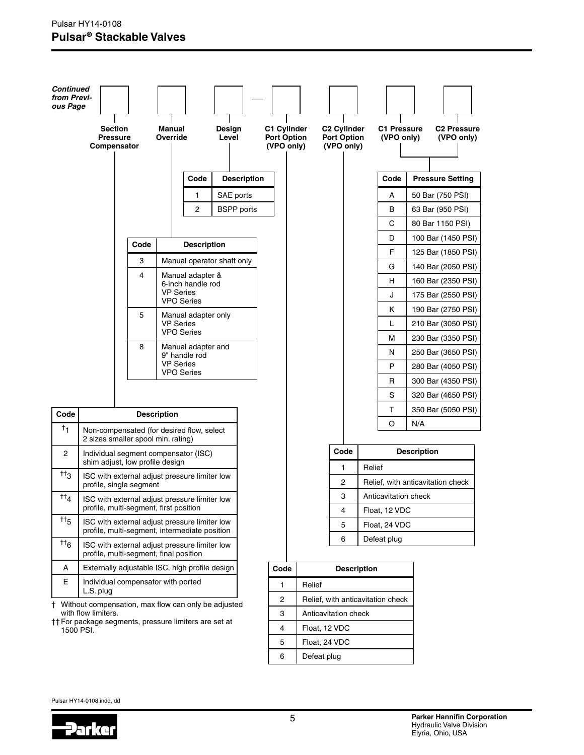![](_page_8_Figure_1.jpeg)

| Code           | <b>Description</b>                                                                             |
|----------------|------------------------------------------------------------------------------------------------|
| $t_1$          | Non-compensated (for desired flow, select<br>2 sizes smaller spool min. rating)                |
| $\overline{2}$ | Individual segment compensator (ISC)<br>shim adjust, low profile design                        |
| $tt_3$         | ISC with external adjust pressure limiter low<br>profile, single segment                       |
| $tt_4$         | ISC with external adjust pressure limiter low<br>profile, multi-segment, first position        |
| $tt_5$         | ISC with external adjust pressure limiter low<br>profile, multi-segment, intermediate position |
| $^{11}6$       | ISC with external adjust pressure limiter low<br>profile, multi-segment, final position        |
| А              | Externally adjustable ISC, high profile design                                                 |
| E              | Individual compensator with ported<br>L.S. plug                                                |

† Without compensation, max flow can only be adjusted with flow limiters.

††For package segments, pressure limiters are set at 1500 PSI.

| Code | <b>Description</b>                |
|------|-----------------------------------|
|      | Relief                            |
| 2    | Relief, with anticavitation check |
| 3    | Anticavitation check              |
|      | Float, 12 VDC                     |
| 5    | Float, 24 VDC                     |
| 6    | Defeat plug                       |

O N/A

| Code | <b>Description</b>                |
|------|-----------------------------------|
|      | Relief                            |
| 2    | Relief, with anticavitation check |
| 3    | Anticavitation check              |
|      | Float, 12 VDC                     |
| 5    | Float, 24 VDC                     |
| 6    | Defeat plug                       |

![](_page_8_Picture_8.jpeg)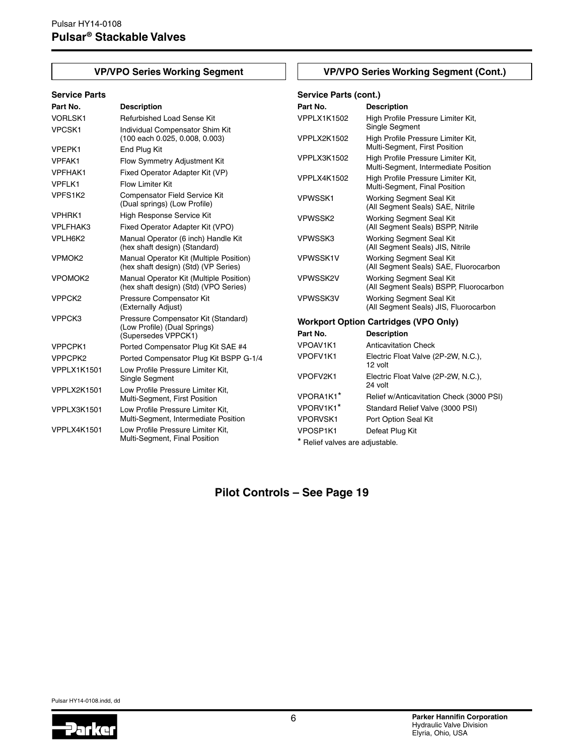#### **VP/VPO Series Working Segment**

#### **Service Parts**

| Part No.       | <b>Description</b>                                                               | Part No.                                     | <b>Description</b>                                                        |  |  |  |
|----------------|----------------------------------------------------------------------------------|----------------------------------------------|---------------------------------------------------------------------------|--|--|--|
| <b>VORLSK1</b> | <b>Refurbished Load Sense Kit</b>                                                | <b>VPPLX1K1502</b>                           | High Profile Pressure Limiter Kit,                                        |  |  |  |
| <b>VPCSK1</b>  | Individual Compensator Shim Kit                                                  |                                              | Single Segment                                                            |  |  |  |
|                | (100 each 0.025, 0.008, 0.003)                                                   | VPPLX2K1502                                  | High Profile Pressure Limiter Kit,<br>Multi-Segment, First Position       |  |  |  |
| VPEPK1         | End Plug Kit                                                                     | VPPLX3K1502                                  | High Profile Pressure Limiter Kit,                                        |  |  |  |
| <b>VPFAK1</b>  | Flow Symmetry Adjustment Kit                                                     |                                              | Multi-Segment, Intermediate Position                                      |  |  |  |
| <b>VPFHAK1</b> | Fixed Operator Adapter Kit (VP)                                                  | <b>VPPLX4K1502</b>                           | High Profile Pressure Limiter Kit,                                        |  |  |  |
| <b>VPFLK1</b>  | Flow Limiter Kit                                                                 |                                              | Multi-Segment, Final Position                                             |  |  |  |
| VPFS1K2        | Compensator Field Service Kit<br>(Dual springs) (Low Profile)                    | <b>VPWSSK1</b>                               | <b>Working Segment Seal Kit</b><br>(All Segment Seals) SAE, Nitrile       |  |  |  |
| VPHRK1         | High Response Service Kit                                                        | VPWSSK2                                      | <b>Working Segment Seal Kit</b>                                           |  |  |  |
| VPLFHAK3       | Fixed Operator Adapter Kit (VPO)                                                 |                                              | (All Segment Seals) BSPP, Nitrile                                         |  |  |  |
| VPLH6K2        | Manual Operator (6 inch) Handle Kit<br>(hex shaft design) (Standard)             | VPWSSK3                                      | <b>Working Segment Seal Kit</b><br>(All Segment Seals) JIS, Nitrile       |  |  |  |
| VPMOK2         | Manual Operator Kit (Multiple Position)<br>(hex shaft design) (Std) (VP Series)  | <b>VPWSSK1V</b>                              | <b>Working Segment Seal Kit</b><br>(All Segment Seals) SAE, Fluorocarbon  |  |  |  |
| VPOMOK2        | Manual Operator Kit (Multiple Position)<br>(hex shaft design) (Std) (VPO Series) | VPWSSK2V                                     | <b>Working Segment Seal Kit</b><br>(All Segment Seals) BSPP, Fluorocarbon |  |  |  |
| VPPCK2         | Pressure Compensator Kit<br>(Externally Adjust)                                  | <b>VPWSSK3V</b>                              | Working Segment Seal Kit<br>(All Segment Seals) JIS, Fluorocarbon         |  |  |  |
| VPPCK3         | Pressure Compensator Kit (Standard)                                              | <b>Workport Option Cartridges (VPO Only)</b> |                                                                           |  |  |  |
|                | (Low Profile) (Dual Springs)<br>(Supersedes VPPCK1)                              | Part No.                                     | <b>Description</b>                                                        |  |  |  |
| VPPCPK1        | Ported Compensator Plug Kit SAE #4                                               | VPOAV1K1                                     | <b>Anticavitation Check</b>                                               |  |  |  |
| VPPCPK2        | Ported Compensator Plug Kit BSPP G-1/4                                           | VPOFV1K1                                     | Electric Float Valve (2P-2W, N.C.),<br>12 volt                            |  |  |  |
| VPPLX1K1501    | Low Profile Pressure Limiter Kit,<br>Single Segment                              | VPOFV2K1                                     | Electric Float Valve (2P-2W, N.C.),<br>24 volt                            |  |  |  |
| VPPLX2K1501    | Low Profile Pressure Limiter Kit,<br>Multi-Segment, First Position               | VPORA1K1*                                    | Relief w/Anticavitation Check (3000 PSI)                                  |  |  |  |
| VPPLX3K1501    |                                                                                  |                                              |                                                                           |  |  |  |
|                |                                                                                  |                                              |                                                                           |  |  |  |
|                | Low Profile Pressure Limiter Kit,                                                | VPORV1K1*                                    | Standard Relief Valve (3000 PSI)                                          |  |  |  |
| VPPLX4K1501    | Multi-Segment, Intermediate Position<br>Low Profile Pressure Limiter Kit,        | <b>VPORVSK1</b><br>VPOSP1K1                  | Port Option Seal Kit<br>Defeat Plug Kit                                   |  |  |  |

#### **Pilot Controls – See Page 19**

Pulsar HY14-0108.indd, dd

![](_page_9_Picture_6.jpeg)

#### **VP/VPO Series Working Segment (Cont.)**

**Service Parts (cont.)**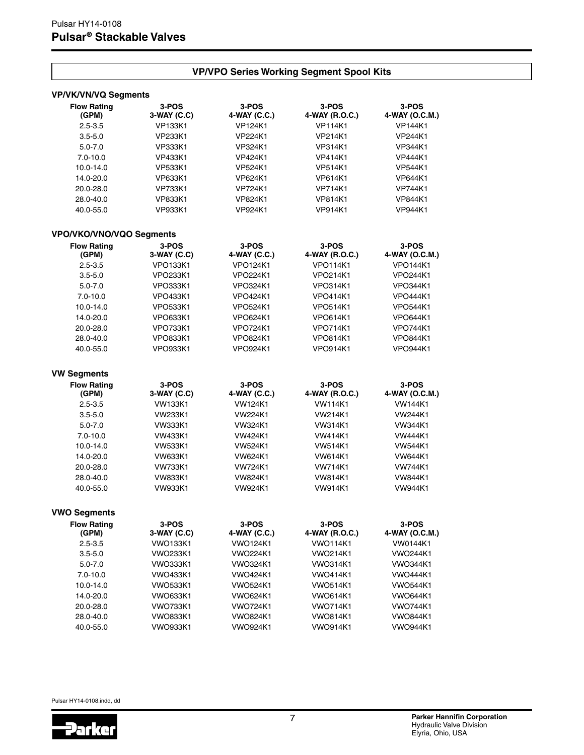| <b>VP/VPO Series Working Segment Spool Kits</b> |  |  |  |  |  |  |
|-------------------------------------------------|--|--|--|--|--|--|
|-------------------------------------------------|--|--|--|--|--|--|

| <b>VP/VK/VN/VQ Segments</b>     |                        |                       |                         |                         |
|---------------------------------|------------------------|-----------------------|-------------------------|-------------------------|
| <b>Flow Rating</b><br>(GPM)     | 3-POS<br>$3-WAY$ (C.C) | 3-POS<br>4-WAY (C.C.) | 3-POS<br>4-WAY (R.O.C.) | 3-POS<br>4-WAY (O.C.M.) |
| $2.5 - 3.5$                     | <b>VP133K1</b>         | <b>VP124K1</b>        | <b>VP114K1</b>          | <b>VP144K1</b>          |
| $3.5 - 5.0$                     | <b>VP233K1</b>         | <b>VP224K1</b>        | <b>VP214K1</b>          | <b>VP244K1</b>          |
| $5.0 - 7.0$                     | <b>VP333K1</b>         | VP324K1               | VP314K1                 | <b>VP344K1</b>          |
| $7.0 - 10.0$                    | <b>VP433K1</b>         | <b>VP424K1</b>        | <b>VP414K1</b>          | <b>VP444K1</b>          |
| 10.0-14.0                       | <b>VP533K1</b>         | <b>VP524K1</b>        | <b>VP514K1</b>          | <b>VP544K1</b>          |
| 14.0-20.0                       | <b>VP633K1</b>         | VP624K1               | VP614K1                 | VP644K1                 |
| 20.0-28.0                       | <b>VP733K1</b>         | <b>VP724K1</b>        | <b>VP714K1</b>          | <b>VP744K1</b>          |
| 28.0-40.0                       | <b>VP833K1</b>         | <b>VP824K1</b>        | <b>VP814K1</b>          | <b>VP844K1</b>          |
| 40.0-55.0                       | <b>VP933K1</b>         | <b>VP924K1</b>        | <b>VP914K1</b>          | <b>VP944K1</b>          |
| <b>VPO/VKO/VNO/VQO Segments</b> |                        |                       |                         |                         |
| <b>Flow Rating</b>              | 3-POS                  | 3-POS                 | 3-POS                   | 3-POS                   |
| (GPM)                           | 3-WAY (C.C)            | 4-WAY (C.C.)          | 4-WAY (R.O.C.)          | 4-WAY (O.C.M.)          |
| $2.5 - 3.5$                     | <b>VPO133K1</b>        | <b>VPO124K1</b>       | <b>VPO114K1</b>         | <b>VPO144K1</b>         |
| $3.5 - 5.0$                     | <b>VPO233K1</b>        | <b>VPO224K1</b>       | <b>VPO214K1</b>         | <b>VPO244K1</b>         |
| $5.0 - 7.0$                     | <b>VPO333K1</b>        | <b>VPO324K1</b>       | <b>VPO314K1</b>         | <b>VPO344K1</b>         |
| 7.0-10.0                        | VPO433K1               | <b>VPO424K1</b>       | <b>VPO414K1</b>         | <b>VPO444K1</b>         |
| 10.0-14.0                       | VPO533K1               | <b>VPO524K1</b>       | <b>VPO514K1</b>         | <b>VPO544K1</b>         |
| 14.0-20.0                       | <b>VPO633K1</b>        | <b>VPO624K1</b>       | <b>VPO614K1</b>         | <b>VPO644K1</b>         |
| 20.0-28.0                       | <b>VPO733K1</b>        | <b>VPO724K1</b>       | <b>VPO714K1</b>         | <b>VPO744K1</b>         |
| 28.0-40.0                       | <b>VPO833K1</b>        | <b>VPO824K1</b>       | <b>VPO814K1</b>         | VPO844K1                |
| 40.0-55.0                       | <b>VPO933K1</b>        | <b>VPO924K1</b>       | <b>VPO914K1</b>         | <b>VPO944K1</b>         |
| <b>VW Segments</b>              |                        |                       |                         |                         |
| <b>Flow Rating</b><br>(GPM)     | 3-POS<br>3-WAY (C.C)   | 3-POS<br>4-WAY (C.C.) | 3-POS<br>4-WAY (R.O.C.) | 3-POS<br>4-WAY (O.C.M.) |
| $2.5 - 3.5$                     | <b>VW133K1</b>         | <b>VW124K1</b>        | <b>VW114K1</b>          | <b>VW144K1</b>          |
| $3.5 - 5.0$                     | <b>VW233K1</b>         | <b>VW224K1</b>        | <b>VW214K1</b>          | <b>VW244K1</b>          |
| $5.0 - 7.0$                     | VW333K1                | <b>VW324K1</b>        | <b>VW314K1</b>          | <b>VW344K1</b>          |
| $7.0 - 10.0$                    | VW433K1                | <b>VW424K1</b>        | <b>VW414K1</b>          | <b>VW444K1</b>          |
| 10.0-14.0                       | VW533K1                | <b>VW524K1</b>        | <b>VW514K1</b>          | <b>VW544K1</b>          |
| 14.0-20.0                       | VW633K1                | <b>VW624K1</b>        | <b>VW614K1</b>          | VW644K1                 |
| 20.0-28.0                       | VW733K1                | <b>VW724K1</b>        | <b>VW714K1</b>          | VW744K1                 |
| 28.0-40.0                       | VW833K1                | <b>VW824K1</b>        | <b>VW814K1</b>          | <b>VW844K1</b>          |
| 40.0-55.0                       | VW933K1                | <b>VW924K1</b>        | <b>VW914K1</b>          | <b>VW944K1</b>          |
| <b>VWO Segments</b>             |                        |                       |                         |                         |
| <b>Flow Rating</b><br>(GPM)     | 3-POS<br>$3-WAY$ (C.C) | 3-POS<br>4-WAY (C.C.) | 3-POS<br>4-WAY (R.O.C.) | 3-POS<br>4-WAY (O.C.M.) |
| $2.5 - 3.5$                     | <b>VWO133K1</b>        | <b>VWO124K1</b>       | <b>VWO114K1</b>         | VW0144K1                |
| $3.5 - 5.0$                     | <b>VWO233K1</b>        | <b>VWO224K1</b>       | VWO214K1                | VWO244K1                |
| $5.0 - 7.0$                     | <b>VWO333K1</b>        | VWO324K1              | VWO314K1                | VWO344K1                |
| $7.0 - 10.0$                    | <b>VWO433K1</b>        | VWO424K1              | <b>VWO414K1</b>         | <b>VWO444K1</b>         |
| 10.0-14.0                       | <b>VWO533K1</b>        | VWO524K1              | VWO514K1                | VWO544K1                |
| 14.0-20.0                       | VWO633K1               | VWO624K1              | VWO614K1                | <b>VWO644K1</b>         |
| 20.0-28.0                       | <b>VWO733K1</b>        | <b>VWO724K1</b>       | <b>VWO714K1</b>         | <b>VWO744K1</b>         |
| 28.0-40.0                       | <b>VWO833K1</b>        | <b>VWO824K1</b>       | <b>VWO814K1</b>         | VWO844K1                |
| 40.0-55.0                       | VWO933K1               | <b>VWO924K1</b>       | <b>VWO914K1</b>         | VWO944K1                |

![](_page_10_Picture_4.jpeg)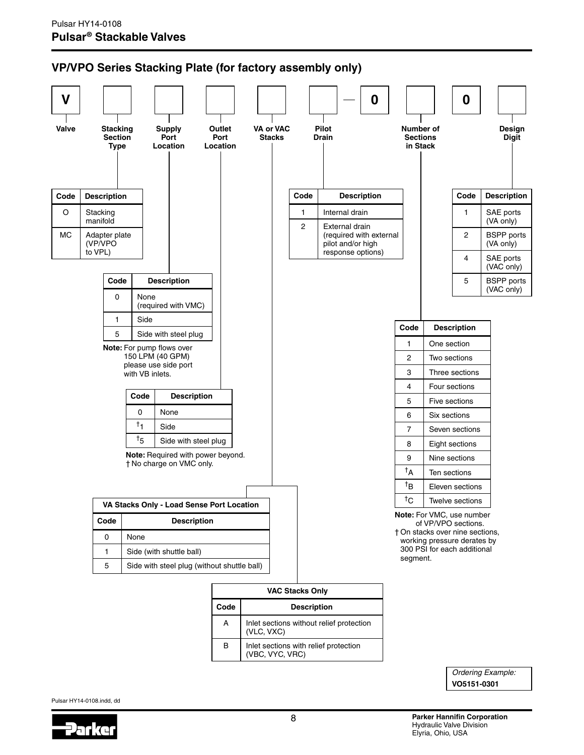#### **VP/VPO Series Stacking Plate (for factory assembly only)**

![](_page_11_Figure_2.jpeg)

| А | Inlet sections without relief protection<br>(VLC, VXC)   |
|---|----------------------------------------------------------|
| B | Inlet sections with relief protection<br>(VBC, VYC, VRC) |

*Ordering Example:* **VO5151-0301**

![](_page_11_Picture_6.jpeg)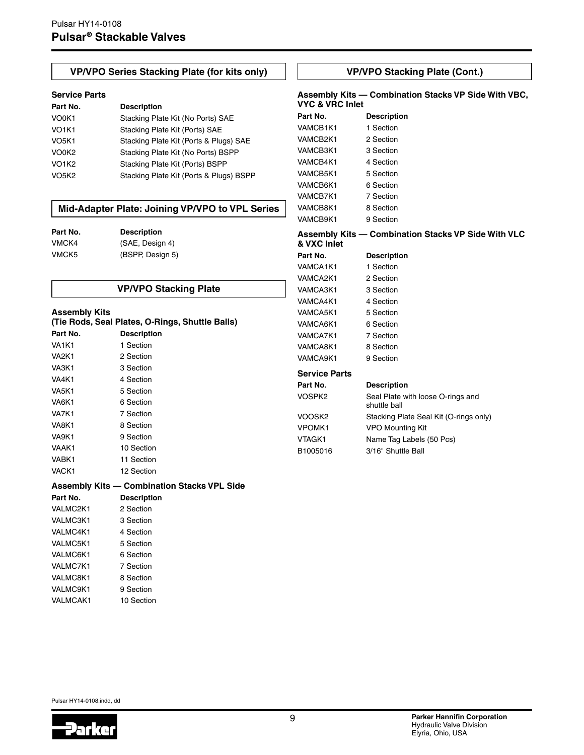#### **VP/VPO Series Stacking Plate (for kits only)**

#### **Service Parts**

| <b>Description</b>                      |
|-----------------------------------------|
| Stacking Plate Kit (No Ports) SAE       |
| Stacking Plate Kit (Ports) SAE          |
| Stacking Plate Kit (Ports & Plugs) SAE  |
| Stacking Plate Kit (No Ports) BSPP      |
| Stacking Plate Kit (Ports) BSPP         |
| Stacking Plate Kit (Ports & Plugs) BSPP |
|                                         |

#### **Mid-Adapter Plate: Joining VP/VPO to VPL Series**

| Part No.          | <b>Description</b> |  |
|-------------------|--------------------|--|
| VMCK4             | (SAE, Design 4)    |  |
| VMCK <sub>5</sub> | (BSPP, Design 5)   |  |

#### **VP/VPO Stacking Plate**

#### **Assembly Kits**

| (Tie Rods, Seal Plates, O-Rings, Shuttle Balls) |                                                   |  |
|-------------------------------------------------|---------------------------------------------------|--|
| Part No.                                        | <b>Description</b>                                |  |
| VA <sub>1</sub> K <sub>1</sub>                  | 1 Section                                         |  |
| <b>VA2K1</b>                                    | 2 Section                                         |  |
| VA3K1                                           | 3 Section                                         |  |
| VA4K1                                           | 4 Section                                         |  |
| VA <sub>5</sub> K <sub>1</sub>                  | 5 Section                                         |  |
| VA6K1                                           | 6 Section                                         |  |
| <b>VA7K1</b>                                    | 7 Section                                         |  |
| VA8K1                                           | 8 Section                                         |  |
| VA9K1                                           | 9 Section                                         |  |
| VAAK1                                           | 10 Section                                        |  |
| VABK1                                           | 11 Section                                        |  |
| VACK1                                           | 12 Section                                        |  |
|                                                 | <b>Assembly Kits - Combination Stacks VPL Sic</b> |  |
| Part No.                                        | <b>Description</b>                                |  |

#### **Assembly Kits — Combination Stacks VPL Side**

| Part No.             | <b>Description</b> |
|----------------------|--------------------|
| VALMC <sub>2K1</sub> | 2 Section          |
| VALMC3K1             | 3 Section          |
| VALMC4K1             | 4 Section          |
| VALMC5K1             | 5 Section          |
| VALMC6K1             | 6 Section          |
| VALMC7K1             | 7 Section          |
| VALMC8K1             | 8 Section          |
| VALMC9K1             | 9 Section          |
| <b>VALMCAK1</b>      | 10 Section         |

#### **VP/VPO Stacking Plate (Cont.)**

#### **Assembly Kits — Combination Stacks VP Side With VBC, VYC & VRC Inlet**

| Part No. | <b>Description</b> |
|----------|--------------------|
| VAMCB1K1 | 1 Section          |
| VAMCB2K1 | 2 Section          |
| VAMCB3K1 | 3 Section          |
| VAMCB4K1 | 4 Section          |
| VAMCB5K1 | 5 Section          |
| VAMCB6K1 | 6 Section          |
| VAMCB7K1 | 7 Section          |
| VAMCB8K1 | 8 Section          |
| VAMCB9K1 | 9 Section          |
|          |                    |

#### **Assembly Kits — Combination Stacks VP Side With VLC & VXC Inlet**

| Part No.             | <b>Description</b> |
|----------------------|--------------------|
| VAMCA1K1             | 1 Section          |
| VAMCA2K1             | 2 Section          |
| VAMCA3K1             | 3 Section          |
| VAMCA4K1             | 4 Section          |
| VAMCA5K1             | 5 Section          |
| VAMCA6K1             | 6 Section          |
| VAMCA7K1             | 7 Section          |
| VAMCA8K1             | 8 Section          |
| VAMCA9K1             | 9 Section          |
| <b>Service Parts</b> |                    |
| <b>B.W.M.</b>        | . <b>.</b>         |

| Part No.           | <b>Description</b>                                |
|--------------------|---------------------------------------------------|
| VOSPK2             | Seal Plate with loose O-rings and<br>shuttle ball |
| VOOSK <sub>2</sub> | Stacking Plate Seal Kit (O-rings only)            |
| <b>VPOMK1</b>      | <b>VPO Mounting Kit</b>                           |
| VTAGK1             | Name Tag Labels (50 Pcs)                          |
| B1005016           | 3/16" Shuttle Ball                                |
|                    |                                                   |

![](_page_12_Picture_18.jpeg)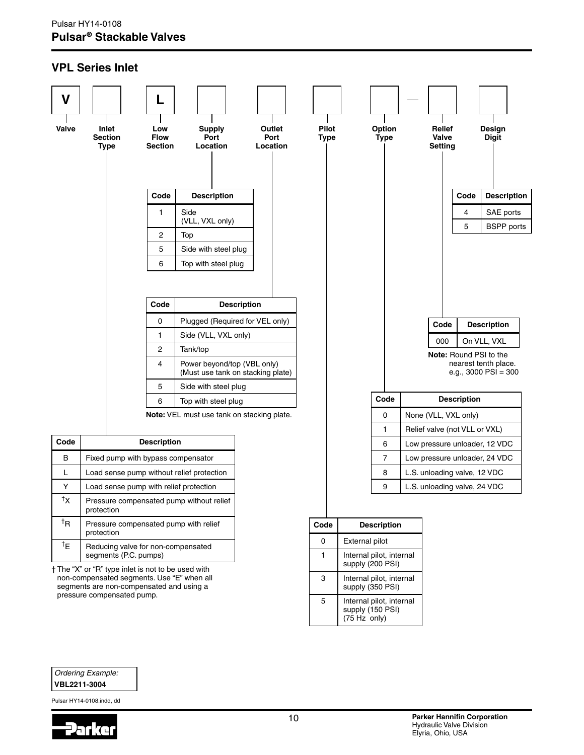### **VPL Series Inlet**

![](_page_13_Figure_2.jpeg)

| Code | <b>Description</b>                                           |
|------|--------------------------------------------------------------|
| Ω    | External pilot                                               |
|      | Internal pilot, internal<br>supply (200 PSI)                 |
| з    | Internal pilot, internal<br>supply (350 PSI)                 |
| 5    | Internal pilot, internal<br>supply (150 PSI)<br>(75 Hz only) |

*Ordering Example:* **VBL2211-3004**

†

†

protection

pressure compensated pump.

R Pressure compensated pump with relief

Reducing valve for non-compensated

segments (P.C. pumps)

† The "X" or "R" type inlet is not to be used with non-compensated segments. Use "E" when all segments are non-compensated and using a

![](_page_13_Picture_7.jpeg)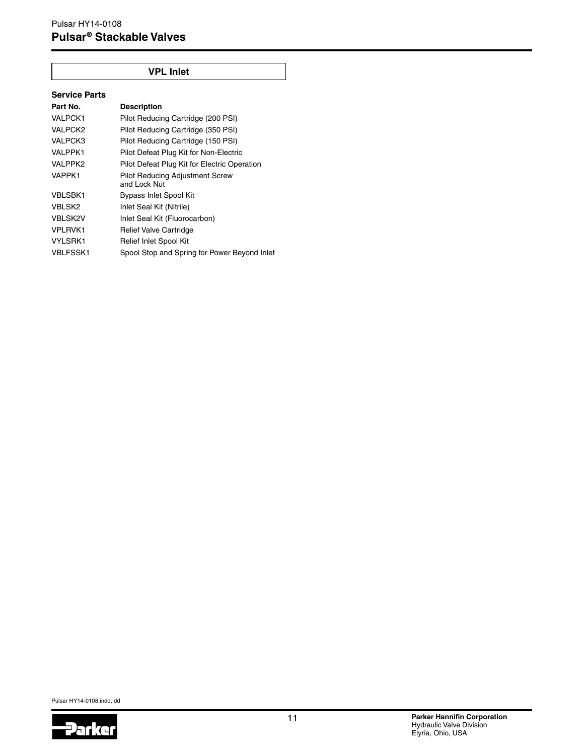#### **VPL Inlet**

| <b>Service Parts</b> |                                                        |
|----------------------|--------------------------------------------------------|
| Part No.             | <b>Description</b>                                     |
| <b>VALPCK1</b>       | Pilot Reducing Cartridge (200 PSI)                     |
| VALPCK2              | Pilot Reducing Cartridge (350 PSI)                     |
| VALPCK3              | Pilot Reducing Cartridge (150 PSI)                     |
| VALPPK1              | Pilot Defeat Plug Kit for Non-Electric                 |
| VALPPK2              | Pilot Defeat Plug Kit for Electric Operation           |
| VAPPK1               | <b>Pilot Reducing Adjustment Screw</b><br>and Lock Nut |
| <b>VBLSBK1</b>       | <b>Bypass Inlet Spool Kit</b>                          |
| VBLSK2               | Inlet Seal Kit (Nitrile)                               |
| VBLSK2V              | Inlet Seal Kit (Fluorocarbon)                          |
| <b>VPLRVK1</b>       | <b>Relief Valve Cartridge</b>                          |
| <b>VYLSRK1</b>       | Relief Inlet Spool Kit                                 |
| <b>VBLFSSK1</b>      | Spool Stop and Spring for Power Beyond Inlet           |
|                      |                                                        |

![](_page_14_Picture_4.jpeg)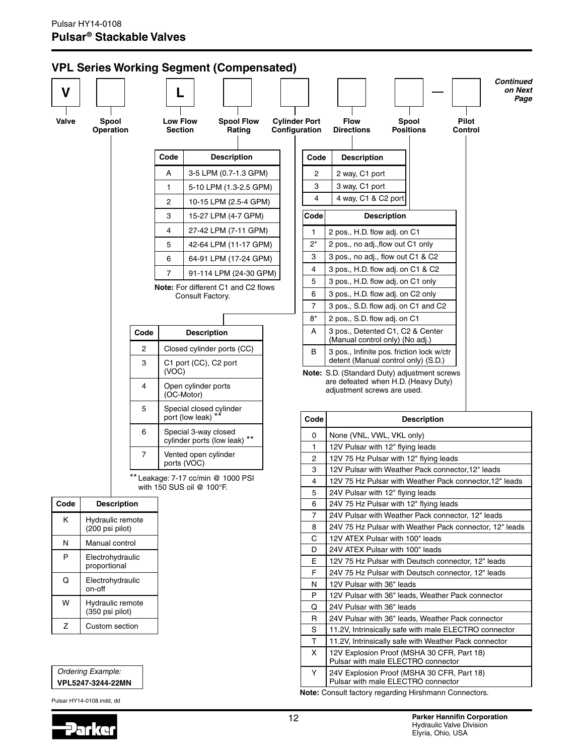![](_page_15_Figure_1.jpeg)

*Ordering Example:* **VPL5247-3244-22MN**

Pulsar HY14-0108.indd, dd

![](_page_15_Picture_4.jpeg)

T 11.2V, Intrinsically safe with Weather Pack connector X | 12V Explosion Proof (MSHA 30 CFR, Part 18) Pulsar with male ELECTRO connector Y | 24V Explosion Proof (MSHA 30 CFR, Part 18) Pulsar with male ELECTRO connector **Note:** Consult factory regarding Hirshmann Connectors.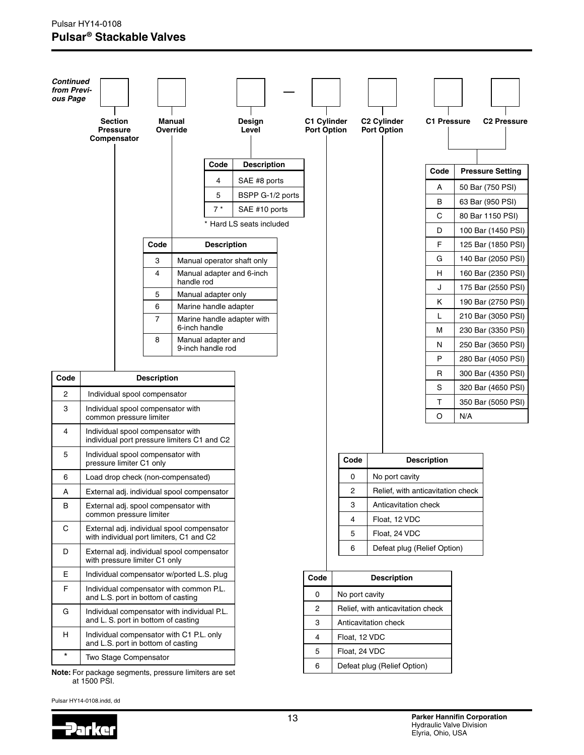#### **Pulsar® Stackable Valves** Pulsar HY14-0108

![](_page_16_Figure_1.jpeg)

| Code           | <b>Description</b>                                                                     |
|----------------|----------------------------------------------------------------------------------------|
| $\overline{2}$ | Individual spool compensator                                                           |
| 3              | Individual spool compensator with<br>common pressure limiter                           |
| 4              | Individual spool compensator with<br>individual port pressure limiters C1 and C2       |
| 5              | Individual spool compensator with<br>pressure limiter C1 only                          |
| 6              | Load drop check (non-compensated)                                                      |
| A              | External adj. individual spool compensator                                             |
| В              | External adj. spool compensator with<br>common pressure limiter                        |
| C              | External adj. individual spool compensator<br>with individual port limiters, C1 and C2 |
| D              | External adj. individual spool compensator<br>with pressure limiter C1 only            |
| F              | Individual compensator w/ported L.S. plug                                              |
| F              | Individual compensator with common P.L.<br>and L.S. port in bottom of casting          |
| G              | Individual compensator with individual P.L.<br>and L. S. port in bottom of casting     |
| н              | Individual compensator with C1 P.L. only<br>and L.S. port in bottom of casting         |
| $\star$        | Two Stage Compensator                                                                  |

**Note:** For package segments, pressure limiters are set at 1500 PSI.

Pulsar HY14-0108.indd, dd

![](_page_16_Picture_5.jpeg)

| Code | <b>Description</b>                |
|------|-----------------------------------|
| o    | No port cavity                    |
| 2    | Relief, with anticavitation check |
| з    | Anticavitation check              |
|      | Float, 12 VDC                     |
| 5    | Float, 24 VDC                     |
| 6    | Defeat plug (Relief Option)       |

| Code | <b>Description</b>                |
|------|-----------------------------------|
| ი    | No port cavity                    |
| 2    | Relief, with anticavitation check |
| 3    | Anticavitation check              |
| 4    | Float, 12 VDC                     |
| 5    | Float, 24 VDC                     |
| հ    | Defeat plug (Relief Option)       |

S 320 Bar (4650 PSI) T 350 Bar (5050 PSI)

 $O$   $N/A$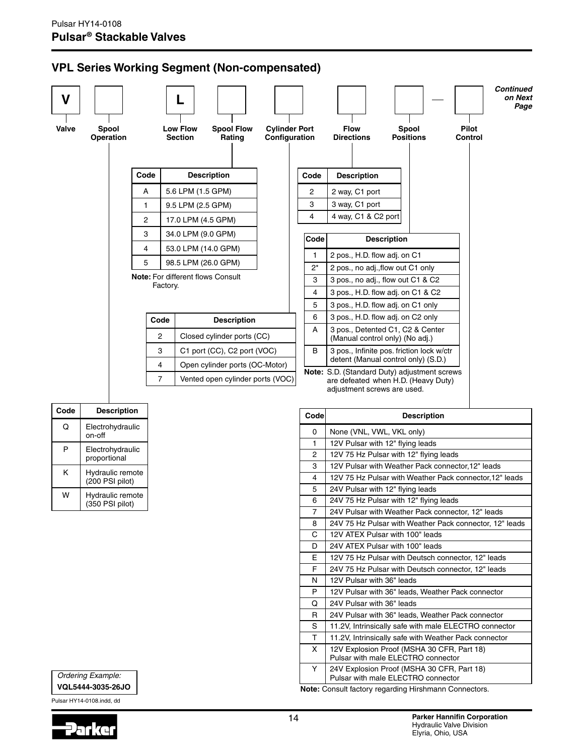### **VPL Series Working Segment (Non-compensated)**

![](_page_17_Figure_2.jpeg)

| Code | Description                         |
|------|-------------------------------------|
| റ    | Electrohydraulic<br>on-off          |
| P    | Electrohydraulic<br>proportional    |
| ĸ    | Hydraulic remote<br>(200 PSI pilot) |
| w    | Hydraulic remote<br>(350 PSI pilot) |

**Code Description** 0 | None (VNL, VWL, VKL only) 1 | 12V Pulsar with 12" flying leads 2 | 12V 75 Hz Pulsar with 12" flying leads 3 12V Pulsar with Weather Pack connector,12" leads 4 12V 75 Hz Pulsar with Weather Pack connector,12" leads 5 24V Pulsar with 12" flying leads 6 24V 75 Hz Pulsar with 12" flying leads 7 24V Pulsar with Weather Pack connector, 12" leads 8 24V 75 Hz Pulsar with Weather Pack connector, 12" leads C | 12V ATEX Pulsar with 100" leads D | 24V ATEX Pulsar with 100" leads E 12V 75 Hz Pulsar with Deutsch connector, 12" leads F 24V 75 Hz Pulsar with Deutsch connector, 12" leads N | 12V Pulsar with 36" leads P | 12V Pulsar with 36" leads, Weather Pack connector Q | 24V Pulsar with 36" leads R | 24V Pulsar with 36" leads, Weather Pack connector S | 11.2V, Intrinsically safe with male ELECTRO connector T 11.2V, Intrinsically safe with Weather Pack connector X | 12V Explosion Proof (MSHA 30 CFR, Part 18) Pulsar with male ELECTRO connector Y | 24V Explosion Proof (MSHA 30 CFR, Part 18) Pulsar with male ELECTRO connector

**Note:** Consult factory regarding Hirshmann Connectors.

*Ordering Example:*

**VQL5444-3035-26JO**

![](_page_17_Picture_9.jpeg)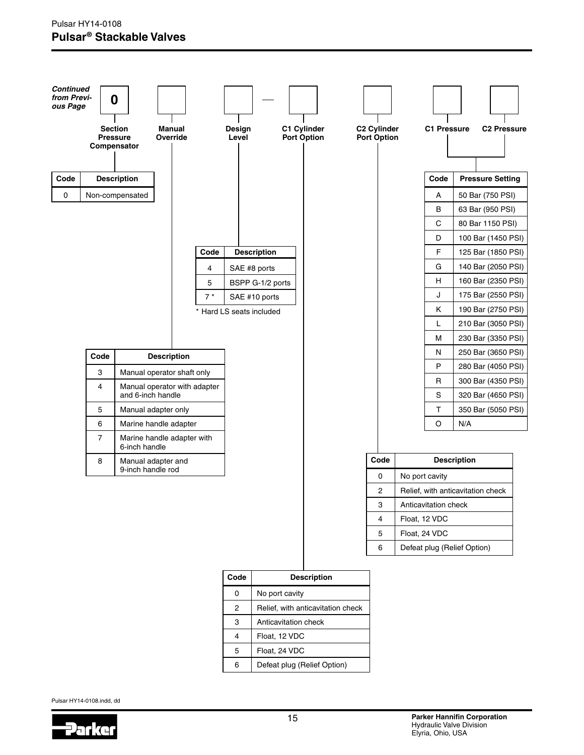![](_page_18_Figure_1.jpeg)

| Code | <b>Description</b>                |
|------|-----------------------------------|
| U    | No port cavity                    |
| 2    | Relief, with anticavitation check |
| 3    | Anticavitation check              |
|      | Float, 12 VDC                     |
| 5    | Float, 24 VDC                     |
|      | Defeat plug (Relief Option)       |

| Code | <b>Description</b>                |
|------|-----------------------------------|
| ი    | No port cavity                    |
| 2    | Relief, with anticavitation check |
| 3    | Anticavitation check              |
|      | Float, 12 VDC                     |
| 5    | Float, 24 VDC                     |
| ค    | Defeat plug (Relief Option)       |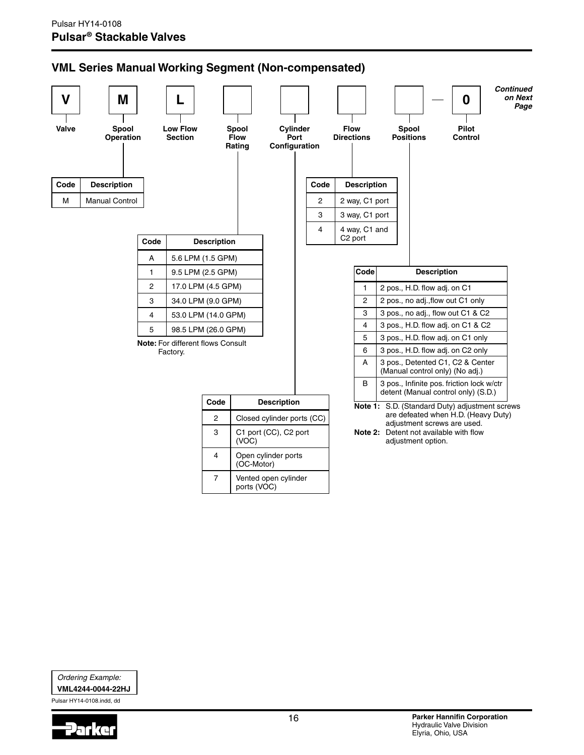![](_page_19_Figure_1.jpeg)

![](_page_19_Figure_2.jpeg)

*Ordering Example:*

**VML4244-0044-22HJ**

![](_page_19_Picture_6.jpeg)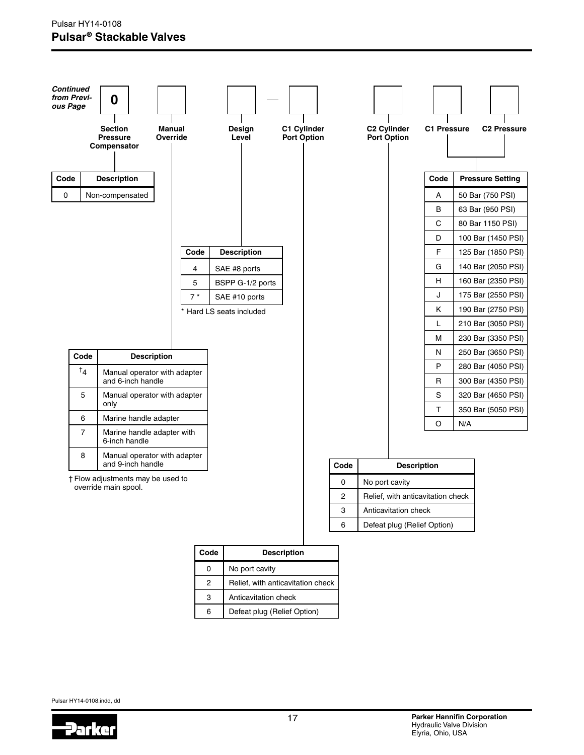![](_page_20_Figure_1.jpeg)

| Code | <b>Description</b>                |  |
|------|-----------------------------------|--|
| O)   | No port cavity                    |  |
| 2    | Relief, with anticavitation check |  |
| 3    | Anticavitation check              |  |
| 6    | Defeat plug (Relief Option)       |  |

![](_page_20_Picture_4.jpeg)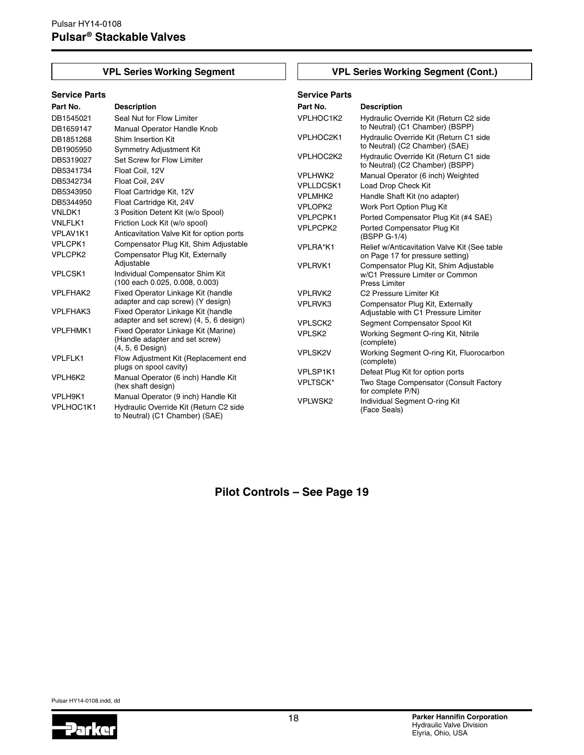#### **VPL Series Working Segment VPL Series Working Segment (Cont.)**

| <b>Service Parts</b>                        |                                                                                                                 | <b>Service Parts</b>                   |                                                                                                  |
|---------------------------------------------|-----------------------------------------------------------------------------------------------------------------|----------------------------------------|--------------------------------------------------------------------------------------------------|
| Part No.                                    | <b>Description</b>                                                                                              | Part No.                               | <b>Description</b>                                                                               |
| DB1545021<br>DB1659147                      | Seal Nut for Flow Limiter<br>Manual Operator Handle Knob                                                        | VPLHOC1K2                              | Hydraulic Override Kit (Return C2 side<br>to Neutral) (C1 Chamber) (BSPP)                        |
| DB1851268<br>DB1905950                      | <b>Shim Insertion Kit</b><br>Symmetry Adjustment Kit                                                            | VPLHOC2K1                              | Hydraulic Override Kit (Return C1 side<br>to Neutral) (C2 Chamber) (SAE)                         |
| DB5319027                                   | Set Screw for Flow Limiter                                                                                      | VPLHOC2K2                              | Hydraulic Override Kit (Return C1 side<br>to Neutral) (C2 Chamber) (BSPP)                        |
| DB5341734<br>DB5342734                      | Float Coil, 12V<br>Float Coil, 24V                                                                              | VPLHWK2<br><b>VPLLDCSK1</b>            | Manual Operator (6 inch) Weighted<br>Load Drop Check Kit                                         |
| DB5343950<br>DB5344950                      | Float Cartridge Kit, 12V<br>Float Cartridge Kit, 24V                                                            | <b>VPLMHK2</b>                         | Handle Shaft Kit (no adapter)                                                                    |
| <b>VNLDK1</b><br><b>VNLFLK1</b><br>VPLAV1K1 | 3 Position Detent Kit (w/o Spool)<br>Friction Lock Kit (w/o spool)<br>Anticavitation Valve Kit for option ports | VPLOPK2<br><b>VPLPCPK1</b><br>VPLPCPK2 | Work Port Option Plug Kit<br>Ported Compensator Plug Kit (#4 SAE)<br>Ported Compensator Plug Kit |
| <b>VPLCPK1</b><br>VPLCPK2                   | Compensator Plug Kit, Shim Adjustable<br>Compensator Plug Kit, Externally                                       | VPLRA*K1                               | (BSPP G-1/4)<br>Relief w/Anticavitation Valve Kit (See table<br>on Page 17 for pressure setting) |
| <b>VPLCSK1</b>                              | Adjustable<br>Individual Compensator Shim Kit<br>(100 each 0.025, 0.008, 0.003)                                 | <b>VPLRVK1</b>                         | Compensator Plug Kit, Shim Adjustable<br>w/C1 Pressure Limiter or Common<br><b>Press Limiter</b> |
| <b>VPLFHAK2</b>                             | Fixed Operator Linkage Kit (handle<br>adapter and cap screw) (Y design)                                         | VPLRVK2                                | C <sub>2</sub> Pressure Limiter Kit                                                              |
| VPLFHAK3                                    | Fixed Operator Linkage Kit (handle<br>adapter and set screw) (4, 5, 6 design)                                   | VPLRVK3                                | Compensator Plug Kit, Externally<br>Adjustable with C1 Pressure Limiter                          |
| <b>VPLFHMK1</b>                             | Fixed Operator Linkage Kit (Marine)<br>(Handle adapter and set screw)                                           | <b>VPLSCK2</b><br>VPLSK <sub>2</sub>   | Segment Compensator Spool Kit<br>Working Segment O-ring Kit, Nitrile<br>(complete)               |
| <b>VPLFLK1</b>                              | (4, 5, 6 Design)<br>Flow Adjustment Kit (Replacement end<br>plugs on spool cavity)                              | <b>VPLSK2V</b>                         | Working Segment O-ring Kit, Fluorocarbon<br>(complete)                                           |
| VPLH6K2                                     | Manual Operator (6 inch) Handle Kit<br>(hex shaft design)                                                       | VPLSP1K1<br><b>VPLTSCK*</b>            | Defeat Plug Kit for option ports<br>Two Stage Compensator (Consult Factory                       |
| VPLH9K1<br>VPLHOC1K1                        | Manual Operator (9 inch) Handle Kit<br>Hydraulic Override Kit (Return C2 side<br>to Neutral) (C1 Chamber) (SAE) | <b>VPLWSK2</b>                         | for complete P/N)<br>Individual Segment O-ring Kit<br>(Face Seals)                               |

#### **Pilot Controls – See Page 19**

![](_page_21_Picture_6.jpeg)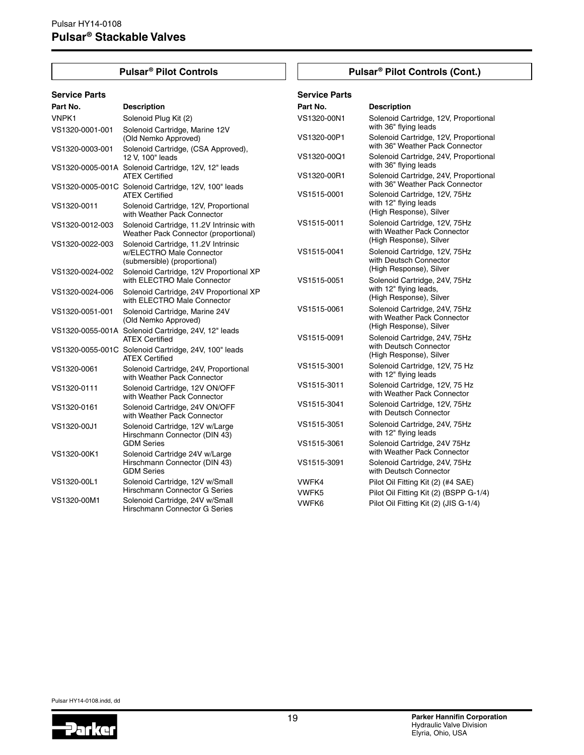#### **Pulsar® Pilot Controls Pulsar® Pilot Controls (Cont.)**

| <b>Service Parts</b> |                                                                                                 | <b>Service Parts</b> |                                                                                         |
|----------------------|-------------------------------------------------------------------------------------------------|----------------------|-----------------------------------------------------------------------------------------|
| Part No.             | <b>Description</b>                                                                              | Part No.             | <b>Description</b>                                                                      |
| VNPK1                | Solenoid Plug Kit (2)                                                                           | VS1320-00N1          | Solenoid Cartridge, 12V, Proportional                                                   |
| VS1320-0001-001      | Solenoid Cartridge, Marine 12V<br>(Old Nemko Approved)                                          | VS1320-00P1          | with 36" flying leads<br>Solenoid Cartridge, 12V, Proportional                          |
| VS1320-0003-001      | Solenoid Cartridge, (CSA Approved),<br>12 V, 100" leads                                         | VS1320-00Q1          | with 36" Weather Pack Connector<br>Solenoid Cartridge, 24V, Proportional                |
|                      | VS1320-0005-001A Solenoid Cartridge, 12V, 12" leads<br><b>ATEX Certified</b>                    | VS1320-00R1          | with 36" flying leads<br>Solenoid Cartridge, 24V, Proportional                          |
|                      | VS1320-0005-001C Solenoid Cartridge, 12V, 100" leads<br><b>ATEX Certified</b>                   | VS1515-0001          | with 36" Weather Pack Connector<br>Solenoid Cartridge, 12V, 75Hz                        |
| VS1320-0011          | Solenoid Cartridge, 12V, Proportional<br>with Weather Pack Connector                            |                      | with 12" flying leads<br>(High Response), Silver                                        |
| VS1320-0012-003      | Solenoid Cartridge, 11.2V Intrinsic with<br>Weather Pack Connector (proportional)               | VS1515-0011          | Solenoid Cartridge, 12V, 75Hz<br>with Weather Pack Connector<br>(High Response), Silver |
| VS1320-0022-003      | Solenoid Cartridge, 11.2V Intrinsic<br>w/ELECTRO Male Connector<br>(submersible) (proportional) | VS1515-0041          | Solenoid Cartridge, 12V, 75Hz<br>with Deutsch Connector                                 |
| VS1320-0024-002      | Solenoid Cartridge, 12V Proportional XP<br>with ELECTRO Male Connector                          | VS1515-0051          | (High Response), Silver<br>Solenoid Cartridge, 24V, 75Hz                                |
| VS1320-0024-006      | Solenoid Cartridge, 24V Proportional XP<br>with ELECTRO Male Connector                          |                      | with 12" flying leads,<br>(High Response), Silver                                       |
| VS1320-0051-001      | Solenoid Cartridge, Marine 24V<br>(Old Nemko Approved)                                          | VS1515-0061          | Solenoid Cartridge, 24V, 75Hz<br>with Weather Pack Connector<br>(High Response), Silver |
|                      | VS1320-0055-001A Solenoid Cartridge, 24V, 12" leads<br><b>ATEX Certified</b>                    | VS1515-0091          | Solenoid Cartridge, 24V, 75Hz<br>with Deutsch Connector                                 |
|                      | VS1320-0055-001C Solenoid Cartridge, 24V, 100" leads<br><b>ATEX Certified</b>                   |                      | (High Response), Silver                                                                 |
| VS1320-0061          | Solenoid Cartridge, 24V, Proportional<br>with Weather Pack Connector                            | VS1515-3001          | Solenoid Cartridge, 12V, 75 Hz<br>with 12" flying leads                                 |
| VS1320-0111          | Solenoid Cartridge, 12V ON/OFF<br>with Weather Pack Connector                                   | VS1515-3011          | Solenoid Cartridge, 12V, 75 Hz<br>with Weather Pack Connector                           |
| VS1320-0161          | Solenoid Cartridge, 24V ON/OFF<br>with Weather Pack Connector                                   | VS1515-3041          | Solenoid Cartridge, 12V, 75Hz<br>with Deutsch Connector                                 |
| VS1320-00J1          | Solenoid Cartridge, 12V w/Large<br>Hirschmann Connector (DIN 43)                                | VS1515-3051          | Solenoid Cartridge, 24V, 75Hz<br>with 12" flying leads                                  |
| VS1320-00K1          | <b>GDM Series</b><br>Solenoid Cartridge 24V w/Large                                             | VS1515-3061          | Solenoid Cartridge, 24V 75Hz<br>with Weather Pack Connector                             |
|                      | Hirschmann Connector (DIN 43)<br><b>GDM Series</b>                                              | VS1515-3091          | Solenoid Cartridge, 24V, 75Hz<br>with Deutsch Connector                                 |
| VS1320-00L1          | Solenoid Cartridge, 12V w/Small<br>Hirschmann Connector G Series                                | VWFK4<br>VWFK5       | Pilot Oil Fitting Kit (2) (#4 SAE)                                                      |
| VS1320-00M1          | Solenoid Cartridge, 24V w/Small<br>Hirschmann Connector G Series                                | VWFK6                | Pilot Oil Fitting Kit (2) (BSPP G-1/4)<br>Pilot Oil Fitting Kit (2) (JIS G-1/4)         |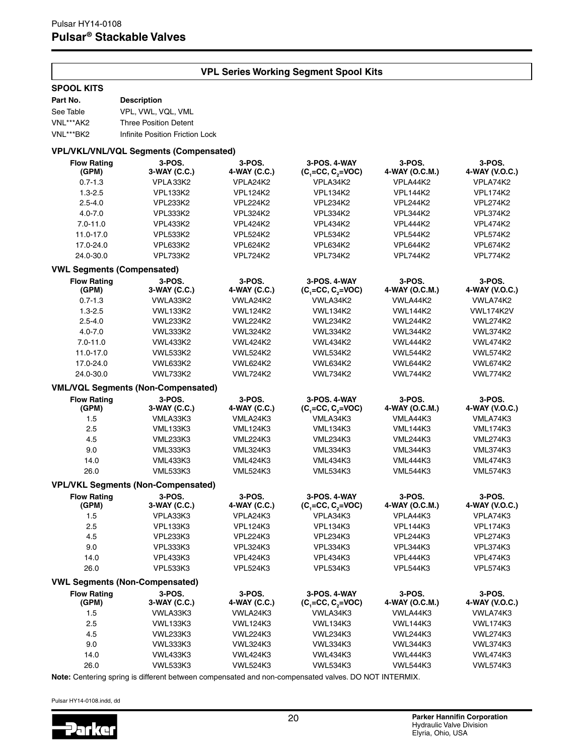#### **VPL Series Working Segment Spool Kits**

#### **SPOOL KITS**

| <b>SPOOL KITS</b>           |                                                     |                             |                             |                                    |                                    |
|-----------------------------|-----------------------------------------------------|-----------------------------|-----------------------------|------------------------------------|------------------------------------|
| Part No.                    | Description                                         |                             |                             |                                    |                                    |
| See Table                   | VPL, VWL, VQL, VML                                  |                             |                             |                                    |                                    |
| VNL***AK2                   | <b>Three Position Detent</b>                        |                             |                             |                                    |                                    |
| VNL***BK2                   | Infinite Position Friction Lock                     |                             |                             |                                    |                                    |
|                             | <b>VPL/VKL/VNL/VQL Segments (Compensated)</b>       |                             |                             |                                    |                                    |
| <b>Flow Rating</b>          | 3-POS.                                              | 3-POS.                      | 3-POS. 4-WAY                | 3-POS.                             | 3-POS.                             |
| (GPM)                       | 3-WAY (C.C.)                                        | 4-WAY (C.C.)                | $(C_1 = CC, C_2 = VOC)$     | 4-WAY (O.C.M.)                     | 4-WAY (V.O.C.)                     |
| $0.7 - 1.3$                 | VPLA33K2                                            | VPLA24K2                    | VPLA34K2                    | VPLA44K2                           | VPLA74K2                           |
| $1.3 - 2.5$                 | <b>VPL133K2</b>                                     | <b>VPL124K2</b>             | <b>VPL134K2</b>             | <b>VPL144K2</b>                    | <b>VPL174K2</b>                    |
| $2.5 - 4.0$                 | <b>VPL233K2</b>                                     | <b>VPL224K2</b>             | <b>VPL234K2</b>             | <b>VPL244K2</b>                    | <b>VPL274K2</b>                    |
| $4.0 - 7.0$                 | <b>VPL333K2</b>                                     | <b>VPL324K2</b>             | <b>VPL334K2</b>             | <b>VPL344K2</b>                    | VPL374K2                           |
| $7.0 - 11.0$                | <b>VPL433K2</b>                                     | <b>VPL424K2</b>             | <b>VPL434K2</b>             | <b>VPL444K2</b>                    | <b>VPL474K2</b>                    |
| 11.0-17.0                   | <b>VPL533K2</b>                                     | <b>VPL524K2</b>             | <b>VPL534K2</b>             | <b>VPL544K2</b>                    | <b>VPL574K2</b>                    |
| 17.0-24.0                   | VPL633K2                                            | VPL624K2                    | VPL634K2                    | VPL644K2                           | VPL674K2                           |
| 24.0-30.0                   | <b>VPL733K2</b>                                     | <b>VPL724K2</b>             | <b>VPL734K2</b>             | <b>VPL744K2</b>                    | VPL774K2                           |
|                             | <b>VWL Segments (Compensated)</b>                   |                             |                             |                                    |                                    |
| <b>Flow Rating</b>          | 3-POS.                                              | 3-POS.                      | 3-POS. 4-WAY                | 3-POS.                             | 3-POS.                             |
| (GPM)                       | 3-WAY (C.C.)                                        | 4-WAY (C.C.)                | $(C1=CC, C2=VOC)$           | 4-WAY (O.C.M.)                     | 4-WAY (V.O.C.)                     |
| $0.7 - 1.3$                 | VWLA33K2                                            | VWLA24K2                    | VWLA34K2                    | VWLA44K2                           | VWLA74K2                           |
| $1.3 - 2.5$                 | <b>VWL133K2</b>                                     | <b>VWL124K2</b>             | <b>VWL134K2</b>             | <b>VWL144K2</b>                    | VWL174K2V                          |
| $2.5 - 4.0$                 | <b>VWL233K2</b>                                     | <b>VWL224K2</b>             | <b>VWL234K2</b>             | <b>VWL244K2</b>                    | <b>VWL274K2</b>                    |
| $4.0 - 7.0$                 | <b>VWL333K2</b>                                     | <b>VWL324K2</b>             | <b>VWL334K2</b>             | <b>VWL344K2</b>                    | <b>VWL374K2</b>                    |
| $7.0 - 11.0$                | <b>VWL433K2</b>                                     | <b>VWL424K2</b>             | <b>VWL434K2</b>             | <b>VWL444K2</b>                    | <b>VWL474K2</b>                    |
| 11.0-17.0                   | <b>VWL533K2</b>                                     | <b>VWL524K2</b>             | <b>VWL534K2</b>             | <b>VWL544K2</b>                    | <b>VWL574K2</b>                    |
| 17.0-24.0                   | <b>VWL633K2</b>                                     | <b>VWL624K2</b>             | <b>VWL634K2</b>             | <b>VWL644K2</b>                    | <b>VWL674K2</b>                    |
| 24.0-30.0                   | <b>VWL733K2</b>                                     | <b>VWL724K2</b>             | <b>VWL734K2</b>             | <b>VWL744K2</b>                    | <b>VWL774K2</b>                    |
|                             | <b>VML/VQL Segments (Non-Compensated)</b>           |                             |                             |                                    |                                    |
| <b>Flow Rating</b>          | 3-POS.                                              | 3-POS.                      | 3-POS. 4-WAY                | 3-POS.                             | 3-POS.                             |
| (GPM)                       | 3-WAY (C.C.)                                        | 4-WAY (C.C.)                | $(C_1 = CC, C_2 = VOC)$     | 4-WAY (O.C.M.)                     | 4-WAY (V.O.C.)                     |
| 1.5<br>2.5                  | VMLA33K3<br><b>VML133K3</b>                         | VMLA24K3<br><b>VML124K3</b> | VMLA34K3<br><b>VML134K3</b> | VMLA44K3                           | VMLA74K3                           |
| 4.5                         | <b>VML233K3</b>                                     | <b>VML224K3</b>             | <b>VML234K3</b>             | <b>VML144K3</b><br><b>VML244K3</b> | <b>VML174K3</b><br><b>VML274K3</b> |
| 9.0                         |                                                     |                             |                             |                                    |                                    |
|                             | <b>VML333K3</b>                                     | <b>VML324K3</b>             | <b>VML334K3</b>             | <b>VML344K3</b>                    | <b>VML374K3</b>                    |
| 14.0                        | VML433K3                                            | <b>VML424K3</b>             | <b>VML434K3</b>             | <b>VML444K3</b>                    | <b>VML474K3</b>                    |
| 26.0                        | <b>VML533K3</b>                                     | <b>VML524K3</b>             | <b>VML534K3</b>             | <b>VML544K3</b>                    | <b>VML574K3</b>                    |
|                             | <b>VPL/VKL Segments (Non-Compensated)</b><br>3-POS. |                             | 3-POS. 4-WAY                | 3-POS.                             |                                    |
| <b>Flow Rating</b><br>(GPM) | 3-WAY (C.C.)                                        | 3-POS.<br>4-WAY (C.C.)      | $(C_1 = CC, C_2 = VOC)$     | 4-WAY (O.C.M.)                     | 3-POS.<br>4-WAY (V.O.C.)           |
| 1.5                         | VPLA33K3                                            | VPLA24K3                    | VPLA34K3                    | VPLA44K3                           | VPLA74K3                           |
| 2.5                         | <b>VPL133K3</b>                                     | <b>VPL124K3</b>             | <b>VPL134K3</b>             | <b>VPL144K3</b>                    | <b>VPL174K3</b>                    |
| 4.5                         | <b>VPL233K3</b>                                     | <b>VPL224K3</b>             | <b>VPL234K3</b>             | <b>VPL244K3</b>                    | <b>VPL274K3</b>                    |
| 9.0                         | <b>VPL333K3</b>                                     | <b>VPL324K3</b>             | <b>VPL334K3</b>             | <b>VPL344K3</b>                    | <b>VPL374K3</b>                    |
| 14.0                        | <b>VPL433K3</b>                                     | <b>VPL424K3</b>             | <b>VPL434K3</b>             | <b>VPL444K3</b>                    | VPL474K3                           |
| 26.0                        | <b>VPL533K3</b>                                     | VPL524K3                    | <b>VPL534K3</b>             | <b>VPL544K3</b>                    | <b>VPL574K3</b>                    |
|                             | <b>VWL Segments (Non-Compensated)</b>               |                             |                             |                                    |                                    |
| <b>Flow Rating</b>          | 3-POS.                                              | 3-POS.                      | 3-POS. 4-WAY                | 3-POS.                             | 3-POS.                             |
| (GPM)                       | 3-WAY (C.C.)                                        | 4-WAY (C.C.)                | $(C_1 = CC, C_2 = VOC)$     | 4-WAY (O.C.M.)                     | 4-WAY (V.O.C.)                     |
| 1.5                         | VWLA33K3                                            | VWLA24K3                    | VWLA34K3                    | VWLA44K3                           | VWLA74K3                           |
| 2.5                         | <b>VWL133K3</b>                                     | <b>VWL124K3</b>             | <b>VWL134K3</b>             | <b>VWL144K3</b>                    | <b>VWL174K3</b>                    |
| 4.5                         | <b>VWL233K3</b>                                     | <b>VWL224K3</b>             | <b>VWL234K3</b>             | <b>VWL244K3</b>                    | <b>VWL274K3</b>                    |
| 9.0                         | <b>VWL333K3</b>                                     | <b>VWL324K3</b>             | <b>VWL334K3</b>             | <b>VWL344K3</b>                    | <b>VWL374K3</b>                    |
| 14.0                        | <b>VWL433K3</b>                                     | <b>VWL424K3</b>             | <b>VWL434K3</b>             | <b>VWL444K3</b>                    | <b>VWL474K3</b>                    |
| 26.0                        | <b>VWL533K3</b>                                     | <b>VWL524K3</b>             | <b>VWL534K3</b>             | <b>VWL544K3</b>                    | <b>VWL574K3</b>                    |

**Note:** Centering spring is different between compensated and non-compensated valves. DO NOT INTERMIX.

![](_page_23_Picture_6.jpeg)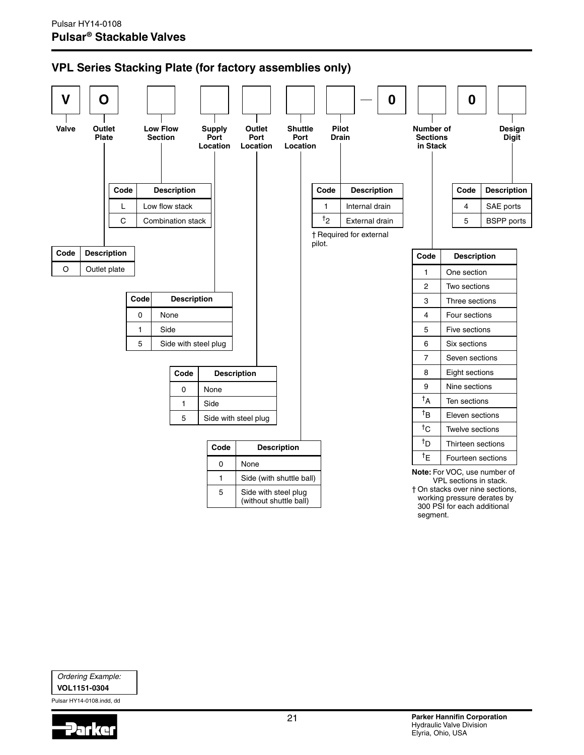### **VPL Series Stacking Plate (for factory assemblies only)**

![](_page_24_Figure_2.jpeg)

*Ordering Example:*

**VOL1151-0304**

![](_page_24_Picture_6.jpeg)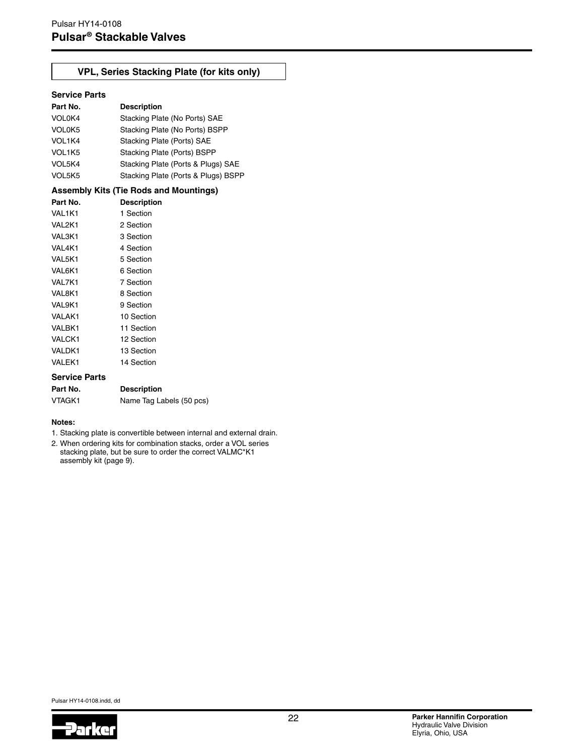#### **VPL, Series Stacking Plate (for kits only)**

#### **Service Parts**

| Part No.                        | <b>Description</b>                            |
|---------------------------------|-----------------------------------------------|
| VOL0K4                          | Stacking Plate (No Ports) SAE                 |
| VOL0K5                          | Stacking Plate (No Ports) BSPP                |
| VOL1K4                          | Stacking Plate (Ports) SAE                    |
| VOL1K5                          | Stacking Plate (Ports) BSPP                   |
| VOL5K4                          | Stacking Plate (Ports & Plugs) SAE            |
| VOL5K5                          | Stacking Plate (Ports & Plugs) BSPP           |
|                                 | <b>Assembly Kits (Tie Rods and Mountings)</b> |
| Part No.                        | <b>Description</b>                            |
| VAL <sub>1</sub> K <sub>1</sub> | 1 Section                                     |
| VAL2K1                          | 2 Section                                     |
| VAL3K1                          | 3 Section                                     |
| VAL4K1                          | 4 Section                                     |
| VAL5K1                          | 5 Section                                     |
| VAL6K1                          | 6 Section                                     |
| VAL7K1                          | 7 Section                                     |
| VAL8K1                          | 8 Section                                     |
| VAL9K1                          | 9 Section                                     |
| VALAK1                          | 10 Section                                    |
| VALBK1                          | 11 Section                                    |
| VALCK1                          | 12 Section                                    |
| VALDK1                          | 13 Section                                    |
| VALEK1                          | 14 Section                                    |
| <b>Service Parts</b>            |                                               |

| Part No. | <b>Description</b>       |
|----------|--------------------------|
| VTAGK1   | Name Tag Labels (50 pcs) |

#### **Notes:**

- 1. Stacking plate is convertible between internal and external drain.
- 2. When ordering kits for combination stacks, order a VOL series stacking plate, but be sure to order the correct VALMC\*K1 assembly kit (page 9).

![](_page_25_Picture_9.jpeg)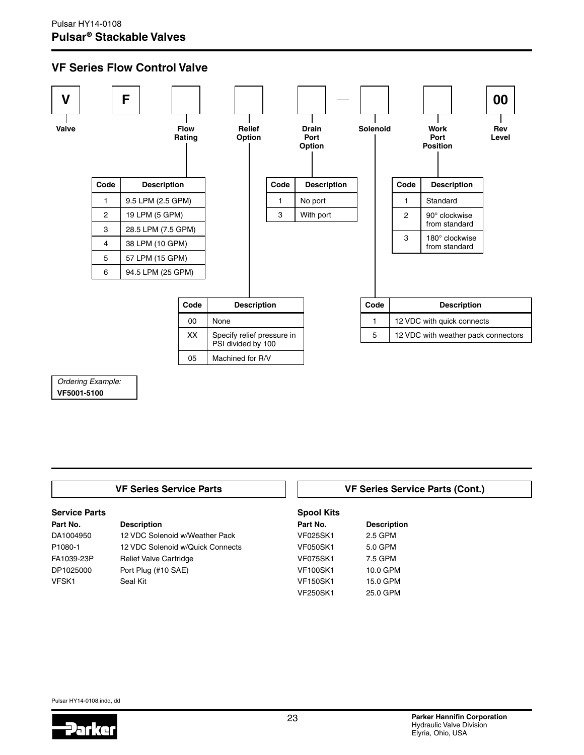### **VF Series Flow Control Valve**

![](_page_26_Figure_2.jpeg)

*Ordering Example:*

**VF5001-5100**

#### **VF Series Service Parts**

#### **Service Parts**

**Part No. Description** DA1004950 12 VDC Solenoid w/Weather Pack P1080-1 12 VDC Solenoid w/Quick Connects FA1039-23P Relief Valve Cartridge DP1025000 Port Plug (#10 SAE) VFSK1 Seal Kit

#### **VF Series Service Parts (Cont.)**

#### **Spool Kits Part No. Description** VF025SK1 2.5 GPM VF050SK1 5.0 GPM VF075SK1 7.5 GPM VF100SK1 10.0 GPM VF150SK1 15.0 GPM VF250SK1 25.0 GPM

![](_page_26_Picture_11.jpeg)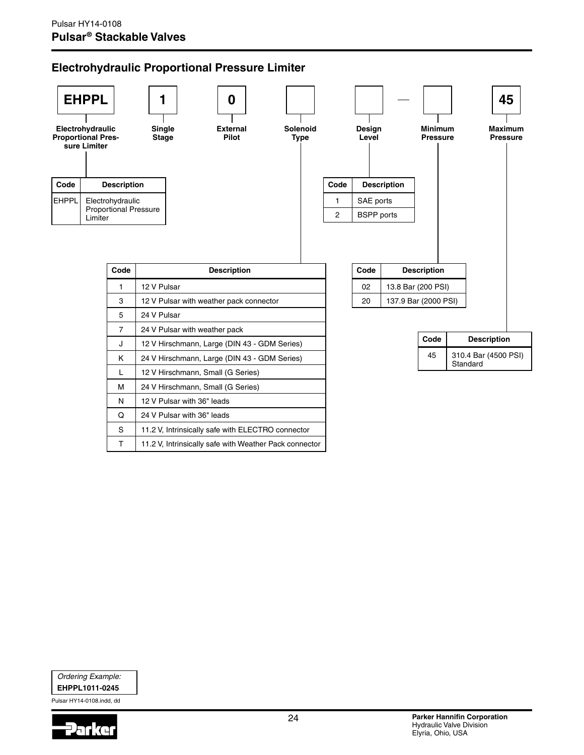### **Electrohydraulic Proportional Pressure Limiter**

![](_page_27_Figure_2.jpeg)

T | 11.2 V, Intrinsically safe with Weather Pack connector

*Ordering Example:*

Pulsar HY14-0108.indd, dd **EHPPL1011-0245**

![](_page_27_Picture_5.jpeg)

![](_page_27_Picture_6.jpeg)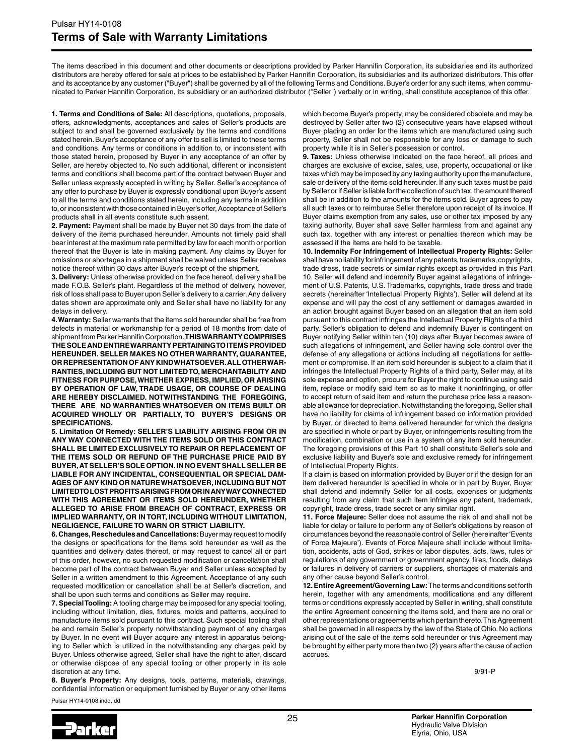The items described in this document and other documents or descriptions provided by Parker Hannifin Corporation, its subsidiaries and its authorized distributors are hereby offered for sale at prices to be established by Parker Hannifin Corporation, its subsidiaries and its authorized distributors. This offer and its acceptance by any customer ("Buyer") shall be governed by all of the following Terms and Conditions. Buyer's order for any such items, when communicated to Parker Hannifin Corporation, its subsidiary or an authorized distributor ("Seller") verbally or in writing, shall constitute acceptance of this offer.

**1. Terms and Conditions of Sale:** All descriptions, quotations, proposals, offers, acknowledgments, acceptances and sales of Seller's products are subject to and shall be governed exclusively by the terms and conditions stated herein. Buyer's acceptance of any offer to sell is limited to these terms and conditions. Any terms or conditions in addition to, or inconsistent with those stated herein, proposed by Buyer in any acceptance of an offer by Seller, are hereby objected to. No such additional, different or inconsistent terms and conditions shall become part of the contract between Buyer and Seller unless expressly accepted in writing by Seller. Seller's acceptance of any offer to purchase by Buyer is expressly conditional upon Buyer's assent to all the terms and conditions stated herein, including any terms in addition to, or inconsistent with those contained in Buyer's offer, Acceptance of Seller's products shall in all events constitute such assent.

**2. Payment:** Payment shall be made by Buyer net 30 days from the date of delivery of the items purchased hereunder. Amounts not timely paid shall bear interest at the maximum rate permitted by law for each month or portion thereof that the Buyer is late in making payment. Any claims by Buyer for omissions or shortages in a shipment shall be waived unless Seller receives notice thereof within 30 days after Buyer's receipt of the shipment.

**3. Delivery:** Unless otherwise provided on the face hereof, delivery shall be made F.O.B. Seller's plant. Regardless of the method of delivery, however, risk of loss shall pass to Buyer upon Seller's delivery to a carrier. Any delivery dates shown are approximate only and Seller shall have no liability for any delays in delivery.

**4.Warranty:** Seller warrants that the items sold hereunder shall be free from defects in material or workmanship for a period of 18 months from date of shipment from Parker Hannifin Corporation. **THISWARRANTYCOMPRISES THESOLEANDENTIREWARRANTYPERTAININGTOITEMSPROVIDED HEREUNDER. SELLER MAKES NO OTHERWARRANTY, GUARANTEE, ORREPRESENTATIONOFANYKINDWHATSOEVER.ALLOTHERWAR-RANTIES, INCLUDING BUT NOT LIMITEDTO, MERCHANTABILITY AND FITNESS FOR PURPOSE,WHETHER EXPRESS, IMPLIED, OR ARISING BY OPERATION OF LAW, TRADE USAGE, OR COURSE OF DEALING ARE HEREBY DISCLAIMED. NOTWITHSTANDING THE FOREGOING, THERE ARE NO WARRANTIES WHATSOEVER ON ITEMS BUILT OR ACQUIRED WHOLLY OR PARTIALLY, TO BUYER'S DESIGNS OR SPECIFICATIONS.**

**5. Limitation Of Remedy: SELLER'S LIABILITY ARISING FROM OR IN ANY WAY CONNECTED WITH THE ITEMS SOLD OR THIS CONTRACT SHALL BE LIMITED EXCLUSIVELYTO REPAIR OR REPLACEMENT OF THE ITEMS SOLD OR REFUND OF THE PURCHASE PRICE PAID BY BUYER,AT SELLER'S SOLE OPTION.IN NO EVENT SHALL SELLER BE LIABLE FOR ANY INCIDENTAL, CONSEQUENTIAL OR SPECIAL DAM-AGES OF ANY KIND OR NATUREWHATSOEVER, INCLUDING BUT NOT LIMITEDTOLOSTPROFITSARISINGFROMORINANYWAYCONNECTED WITH THIS AGREEMENT OR ITEMS SOLD HEREUNDER, WHETHER ALLEGED TO ARISE FROM BREACH OF CONTRACT, EXPRESS OR IMPLIED WARRANTY, OR IN TORT, INCLUDING WITHOUT LIMITATION, NEGLIGENCE, FAILURE TO WARN OR STRICT LIABILITY.**

**6.Changes,ReschedulesandCancellations:**Buyer may request to modify the designs or specifications for the items sold hereunder as well as the quantities and delivery dates thereof, or may request to cancel all or part of this order, however, no such requested modification or cancellation shall become part of the contract between Buyer and Seller unless accepted by Seller in a written amendment to this Agreement. Acceptance of any such requested modification or cancellation shall be at Seller's discretion, and shall be upon such terms and conditions as Seller may require.

**7. SpecialTooling:**A tooling charge may be imposed for any special tooling, including without limitation, dies, fixtures, molds and patterns, acquired to manufacture items sold pursuant to this contract. Such special tooling shall be and remain Seller's property notwithstanding payment of any charges by Buyer. In no event will Buyer acquire any interest in apparatus belonging to Seller which is utilized in the notwithstanding any charges paid by Buyer. Unless otherwise agreed, Seller shall have the right to alter, discard or otherwise dispose of any special tooling or other property in its sole discretion at any time.

**8. Buyer's Property:** Any designs, tools, patterns, materials, drawings, confidential information or equipment furnished by Buyer or any other items

Pulsar HY14-0108.indd, dd

which become Buyer's property, may be considered obsolete and may be destroyed by Seller after two (2) consecutive years have elapsed without Buyer placing an order for the items which are manufactured using such property, Seller shall not be responsible for any loss or damage to such property while it is in Seller's possession or control.

**9. Taxes:** Unless otherwise indicated on the face hereof, all prices and charges are exclusive of excise, sales, use, property, occupational or like taxes which may be imposed by any taxing authority upon the manufacture, sale or delivery of the items sold hereunder. If any such taxes must be paid by Seller or if Seller is liable for the collection of such tax, the amount thereof shall be in addition to the amounts for the items sold. Buyer agrees to pay all such taxes or to reimburse Seller therefore upon receipt of its invoice. If Buyer claims exemption from any sales, use or other tax imposed by any taxing authority, Buyer shall save Seller harmless from and against any such tax, together with any interest or penalties thereon which may be assessed if the items are held to be taxable.

**10. Indemnity For Infringement of Intellectual Property Rights:** Seller shall have no liability for infringement of any patents, trademarks, copyrights, trade dress, trade secrets or similar rights except as provided in this Part 10. Seller will defend and indemnify Buyer against allegations of infringement of U.S. Patents, U.S. Trademarks, copyrights, trade dress and trade secrets (hereinafter 'Intellectual Property Rights'). Seller will defend at its expense and will pay the cost of any settlement or damages awarded in an action brought against Buyer based on an allegation that an item sold pursuant to this contract infringes the Intellectual Property Rights of a third party. Seller's obligation to defend and indemnify Buyer is contingent on Buyer notifying Seller within ten (10) days after Buyer becomes aware of such allegations of infringement, and Seller having sole control over the defense of any allegations or actions including all negotiations for settlement or compromise. If an item sold hereunder is subject to a claim that it infringes the Intellectual Property Rights of a third party, Seller may, at its sole expense and option, procure for Buyer the right to continue using said item, replace or modify said item so as to make it noninfringing, or offer to accept return of said item and return the purchase price less a reasonable allowance for depreciation. Notwithstanding the foregoing, Seller shall have no liability for claims of infringement based on information provided by Buyer, or directed to items delivered hereunder for which the designs are specified in whole or part by Buyer, or infringements resulting from the modification, combination or use in a system of any item sold hereunder. The foregoing provisions of this Part 10 shall constitute Seller's sole and exclusive liability and Buyer's sole and exclusive remedy for infringement of Intellectual Property Rights.

If a claim is based on information provided by Buyer or if the design for an item delivered hereunder is specified in whole or in part by Buyer, Buyer shall defend and indemnify Seller for all costs, expenses or judgments resulting from any claim that such item infringes any patent, trademark, copyright, trade dress, trade secret or any similar right.

**11. Force Majeure:** Seller does not assume the risk of and shall not be liable for delay or failure to perform any of Seller's obligations by reason of circumstances beyond the reasonable control of Seller (hereinafter 'Events of Force Majeure'). Events of Force Majeure shall include without limitation, accidents, acts of God, strikes or labor disputes, acts, laws, rules or regulations of any government or government agency, fires, floods, delays or failures in delivery of carriers or suppliers, shortages of materials and any other cause beyond Seller's control.

**12.Entire Agreement/Governing Law:**The terms and conditions set forth herein, together with any amendments, modifications and any different terms or conditions expressly accepted by Seller in writing, shall constitute the entire Agreement concerning the items sold, and there are no oral or other representations or agreements which pertain thereto. This Agreement shall be governed in all respects by the law of the State of Ohio. No actions arising out of the sale of the items sold hereunder or this Agreement may be brought by either party more than two (2) years after the cause of action accrues.

9/91-P

![](_page_28_Picture_18.jpeg)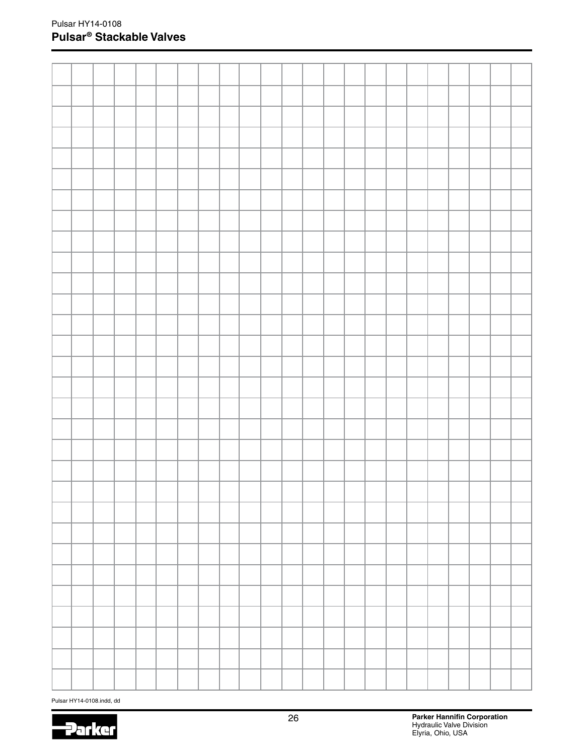![](_page_29_Picture_3.jpeg)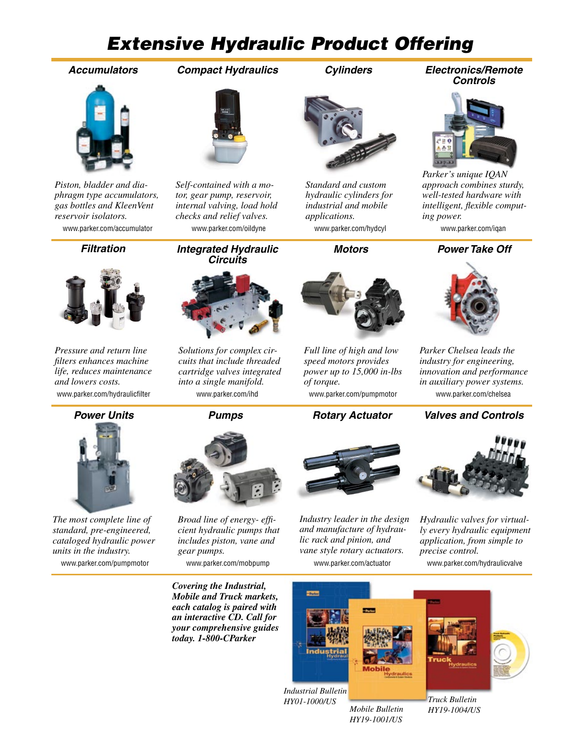# *Extensive Hydraulic Product Offering*

*Compact Hydraulics Cylinders*

#### *Accumulators*

![](_page_30_Picture_2.jpeg)

*Piston, bladder and diaphragm type accumulators, gas bottles and KleenVent reservoir isolators.*

*Filtration*

![](_page_30_Picture_5.jpeg)

*Pressure and return line filters enhances machine life, reduces maintenance and lowers costs.*

![](_page_30_Picture_8.jpeg)

*The most complete line of standard, pre-engineered, cataloged hydraulic power units in the industry.*

![](_page_30_Picture_10.jpeg)

*Self-contained with a motor, gear pump, reservoir, internal valving, load hold checks and relief valves.* www.parker.com/accumulator www.parker.com/oildyne www.parker.com/hydcyl www.parker.com/iqan

*Integrated Hydraulic Circuits*

![](_page_30_Picture_13.jpeg)

*Solutions for complex circuits that include threaded cartridge valves integrated into a single manifold.* www.parker.com/hydraulicfilter www.parker.com/ihd www.parker.com/pumpmotor www.parker.com/chelsea

*Covering the Industrial, Mobile and Truck markets, each catalog is paired with an interactive CD. Call for your comprehensive guides today. 1-800-CParker*

*gear pumps.*

*Broad line of energy- efficient hydraulic pumps that includes piston, vane and* 

![](_page_30_Picture_16.jpeg)

*Standard and custom hydraulic cylinders for industrial and mobile applications.*

*Motors*

![](_page_30_Picture_19.jpeg)

*Full line of high and low speed motors provides power up to 15,000 in-lbs of torque.*

*Rotary Actuator*

![](_page_30_Picture_22.jpeg)

*Industry leader in the design and manufacture of hydraulic rack and pinion, and vane style rotary actuators.*

![](_page_30_Picture_25.jpeg)

![](_page_30_Picture_26.jpeg)

*Hydraulic valves for virtually every hydraulic equipment application, from simple to precise control.*

www.parker.com/pumpmotor www.parker.com/mobpump www.parker.com/actuator www.parker.com/hydraulicvalve

![](_page_30_Picture_29.jpeg)

*Industrial Bulletin HY01-1000/US*

*Mobile Bulletin HY19-1001/US*

*Truck Bulletin HY19-1004/US*

#### *Electronics/Remote Controls*

![](_page_30_Picture_34.jpeg)

*Parker's unique IQAN approach combines sturdy, well-tested hardware with intelligent, flexible computing power.*

*Power Take Off*

![](_page_30_Picture_38.jpeg)

*Parker Chelsea leads the industry for engineering, innovation and performance*